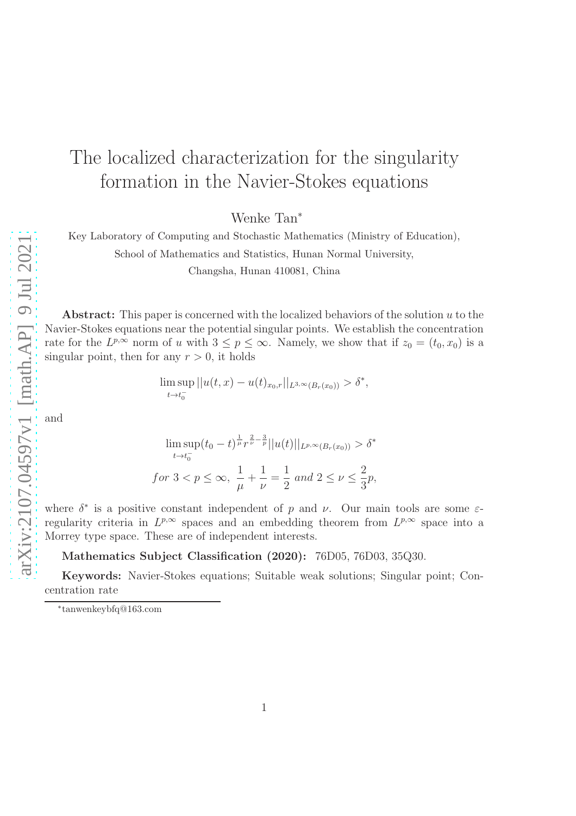# The localized characterization for the singularity formation in the Navier-Stokes equations

Wenke Tan<sup>∗</sup>

Key Laboratory of Computing and Stochastic Mathematics (Ministry of Education), School of Mathematics and Statistics, Hunan Normal University,

Changsha, Hunan 410081, China

Abstract: This paper is concerned with the localized behaviors of the solution  $u$  to the Navier-Stokes equations near the potential singular points. We establish the concentration rate for the  $L^{p,\infty}$  norm of u with  $3 \leq p \leq \infty$ . Namely, we show that if  $z_0 = (t_0, x_0)$  is a singular point, then for any  $r > 0$ , it holds

$$
\limsup_{t \to t_0^-} ||u(t,x) - u(t)_{x_0,r}||_{L^{3,\infty}(B_r(x_0))} > \delta^*,
$$

and

$$
\limsup_{t \to t_0^-} (t_0 - t)^{\frac{1}{\mu}} r^{\frac{2}{\nu} - \frac{3}{p}} ||u(t)||_{L^{p,\infty}(B_r(x_0))} > \delta^*
$$
  
for  $3 < p \le \infty$ ,  $\frac{1}{\mu} + \frac{1}{\nu} = \frac{1}{2}$  and  $2 \le \nu \le \frac{2}{3}p$ ,

where  $\delta^*$  is a positive constant independent of p and v. Our main tools are some  $\varepsilon$ regularity criteria in  $L^{p,\infty}$  spaces and an embedding theorem from  $L^{p,\infty}$  space into a Morrey type space. These are of independent interests.

Mathematics Subject Classification (2020): 76D05, 76D03, 35Q30.

Keywords: Navier-Stokes equations; Suitable weak solutions; Singular point; Concentration rate

<sup>∗</sup> tanwenkeybfq@163.com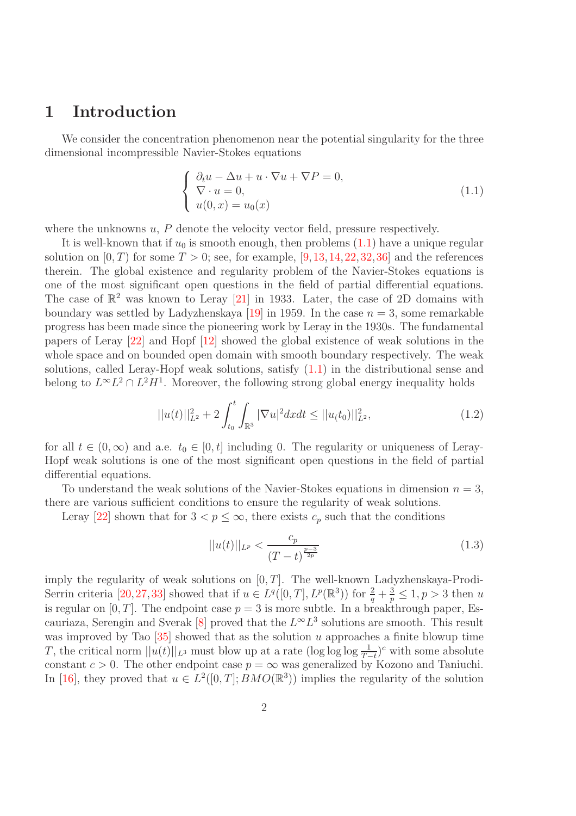## 1 Introduction

We consider the concentration phenomenon near the potential singularity for the three dimensional incompressible Navier-Stokes equations

<span id="page-1-0"></span>
$$
\begin{cases}\n\partial_t u - \Delta u + u \cdot \nabla u + \nabla P = 0, \\
\nabla \cdot u = 0, \\
u(0, x) = u_0(x)\n\end{cases}
$$
\n(1.1)

where the unknowns  $u, P$  denote the velocity vector field, pressure respectively.

It is well-known that if  $u_0$  is smooth enough, then problems  $(1.1)$  have a unique regular solution on  $[0, T)$  for some  $T > 0$ ; see, for example,  $[9, 13, 14, 22, 32, 36]$  $[9, 13, 14, 22, 32, 36]$  $[9, 13, 14, 22, 32, 36]$  $[9, 13, 14, 22, 32, 36]$  $[9, 13, 14, 22, 32, 36]$  $[9, 13, 14, 22, 32, 36]$  $[9, 13, 14, 22, 32, 36]$  $[9, 13, 14, 22, 32, 36]$  $[9, 13, 14, 22, 32, 36]$  $[9, 13, 14, 22, 32, 36]$  and the references therein. The global existence and regularity problem of the Navier-Stokes equations is one of the most significant open questions in the field of partial differential equations. The case of  $\mathbb{R}^2$  was known to Leray [\[21\]](#page-19-1) in 1933. Later, the case of 2D domains with boundary was settled by Ladyzhenskaya [\[19\]](#page-19-2) in 1959. In the case  $n = 3$ , some remarkable progress has been made since the pioneering work by Leray in the 1930s. The fundamental papers of Leray [\[22\]](#page-19-0) and Hopf [\[12\]](#page-18-3) showed the global existence of weak solutions in the whole space and on bounded open domain with smooth boundary respectively. The weak solutions, called Leray-Hopf weak solutions, satisfy [\(1.1\)](#page-1-0) in the distributional sense and belong to  $L^{\infty}L^2 \cap L^2H^1$ . Moreover, the following strong global energy inequality holds

$$
||u(t)||_{L^{2}}^{2} + 2\int_{t_{0}}^{t} \int_{\mathbb{R}^{3}} |\nabla u|^{2} dx dt \leq ||u_{t}(t_{0})||_{L^{2}}^{2}, \qquad (1.2)
$$

for all  $t \in (0, \infty)$  and a.e.  $t_0 \in [0, t]$  including 0. The regularity or uniqueness of Leray-Hopf weak solutions is one of the most significant open questions in the field of partial differential equations.

To understand the weak solutions of the Navier-Stokes equations in dimension  $n = 3$ , there are various sufficient conditions to ensure the regularity of weak solutions.

Leray [\[22\]](#page-19-0) shown that for  $3 < p \leq \infty$ , there exists  $c_p$  such that the conditions

$$
||u(t)||_{L^{p}} < \frac{c_p}{(T-t)^{\frac{p-3}{2p}}} \tag{1.3}
$$

imply the regularity of weak solutions on [0, T]. The well-known Ladyzhenskaya-Prodi-Serrin criteria [\[20,](#page-19-3)[27,](#page-19-4)[33\]](#page-20-2) showed that if  $u \in L^q([0,T], L^p(\mathbb{R}^3))$  for  $\frac{2}{q} + \frac{3}{p} \leq 1, p > 3$  then u is regular on  $[0, T]$ . The endpoint case  $p = 3$  is more subtle. In a breakthrough paper, Es-cauriaza, Serengin and Sverak [\[8\]](#page-18-4) proved that the  $L^{\infty}L^{3}$  solutions are smooth. This result was improved by Tao  $[35]$  showed that as the solution u approaches a finite blowup time T, the critical norm  $||u(t)||_{L^3}$  must blow up at a rate  $(\log \log \frac{1}{T-t})^c$  with some absolute constant  $c > 0$ . The other endpoint case  $p = \infty$  was generalized by Kozono and Taniuchi. In [\[16\]](#page-18-5), they proved that  $u \in L^2([0,T]; BMO(\mathbb{R}^3))$  implies the regularity of the solution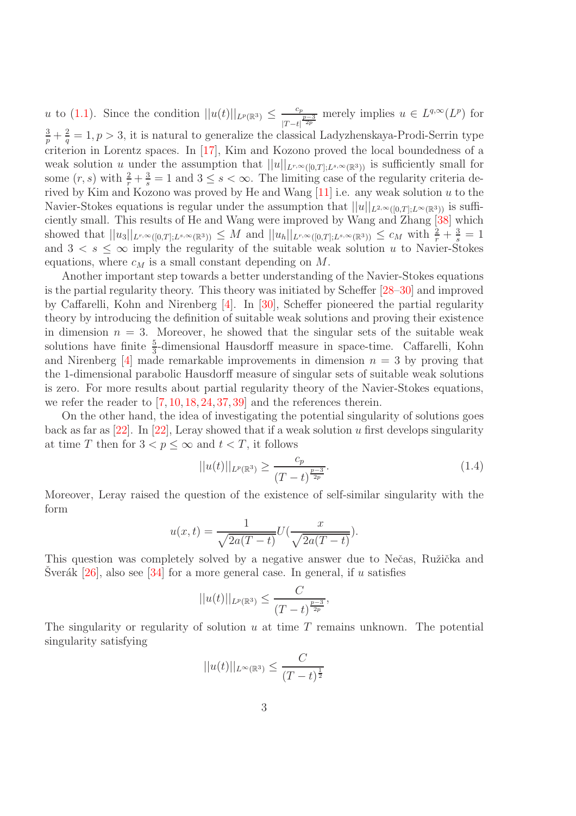u to [\(1.1\)](#page-1-0). Since the condition  $||u(t)||_{L^p(\mathbb{R}^3)} \leq \frac{c_p}{|T-t|}$  $\frac{c_p}{|T-t|^{\frac{p-3}{2p}}}$  merely implies  $u \in L^{q,\infty}(L^p)$  for  $rac{3}{p} + \frac{2}{q}$  $\frac{2}{q} = 1, p > 3$ , it is natural to generalize the classical Ladyzhenskaya-Prodi-Serrin type criterion in Lorentz spaces. In [\[17\]](#page-18-6), Kim and Kozono proved the local boundedness of a weak solution u under the assumption that  $||u||_{L^{r,\infty}([0,T];L^{s,\infty}(\mathbb{R}^3))}$  is sufficiently small for some  $(r, s)$  with  $\frac{2}{r} + \frac{3}{s} = 1$  and  $3 \leq s < \infty$ . The limiting case of the regularity criteria derived by Kim and Kozono was proved by He and Wang  $[11]$  i.e. any weak solution u to the Navier-Stokes equations is regular under the assumption that  $||u||_{L^{2,\infty}([0,T];L^{\infty}(\mathbb{R}^3))}$  is sufficiently small. This results of He and Wang were improved by Wang and Zhang [\[38\]](#page-20-4) which showed that  $||u_3||_{L^{r,\infty}([0,T];L^{s,\infty}(\mathbb{R}^3))} \leq M$  and  $||u_h||_{L^{r,\infty}([0,T];L^{s,\infty}(\mathbb{R}^3))} \leq c_M$  with  $\frac{2}{r} + \frac{3}{s} = 1$ and  $3 < s \leq \infty$  imply the regularity of the suitable weak solution u to Navier-Stokes equations, where  $c_M$  is a small constant depending on M.

Another important step towards a better understanding of the Navier-Stokes equations is the partial regularity theory. This theory was initiated by Scheffer [\[28–](#page-19-5)[30\]](#page-19-6) and improved by Caffarelli, Kohn and Nirenberg [\[4\]](#page-18-8). In [\[30\]](#page-19-6), Scheffer pioneered the partial regularity theory by introducing the definition of suitable weak solutions and proving their existence in dimension  $n = 3$ . Moreover, he showed that the singular sets of the suitable weak solutions have finite  $\frac{5}{3}$ -dimensional Hausdorff measure in space-time. Caffarelli, Kohn and Nirenberg  $[4]$  made remarkable improvements in dimension  $n = 3$  by proving that the 1-dimensional parabolic Hausdorff measure of singular sets of suitable weak solutions is zero. For more results about partial regularity theory of the Navier-Stokes equations, we refer the reader to  $[7, 10, 18, 24, 37, 39]$  $[7, 10, 18, 24, 37, 39]$  $[7, 10, 18, 24, 37, 39]$  $[7, 10, 18, 24, 37, 39]$  $[7, 10, 18, 24, 37, 39]$  $[7, 10, 18, 24, 37, 39]$  $[7, 10, 18, 24, 37, 39]$  $[7, 10, 18, 24, 37, 39]$  $[7, 10, 18, 24, 37, 39]$  $[7, 10, 18, 24, 37, 39]$  and the references therein.

On the other hand, the idea of investigating the potential singularity of solutions goes back as far as  $[22]$ . In  $[22]$ , Leray showed that if a weak solution u first develops singularity at time T then for  $3 < p \leq \infty$  and  $t < T$ , it follows

$$
||u(t)||_{L^{p}(\mathbb{R}^{3})} \ge \frac{c_{p}}{(T-t)^{\frac{p-3}{2p}}}.
$$
\n(1.4)

Moreover, Leray raised the question of the existence of self-similar singularity with the form

$$
u(x,t) = \frac{1}{\sqrt{2a(T-t)}}U\left(\frac{x}{\sqrt{2a(T-t)}}\right).
$$

This question was completely solved by a negative answer due to Nečas, Ružička and Sverák  $[26]$  $[26]$ , also see  $[34]$  for a more general case. In general, if u satisfies

$$
||u(t)||_{L^p(\mathbb{R}^3)} \leq \frac{C}{(T-t)^{\frac{p-3}{2p}}},
$$

The singularity or regularity of solution  $u$  at time  $T$  remains unknown. The potential singularity satisfying

$$
||u(t)||_{L^{\infty}(\mathbb{R}^3)} \leq \frac{C}{(T-t)^{\frac{1}{2}}}
$$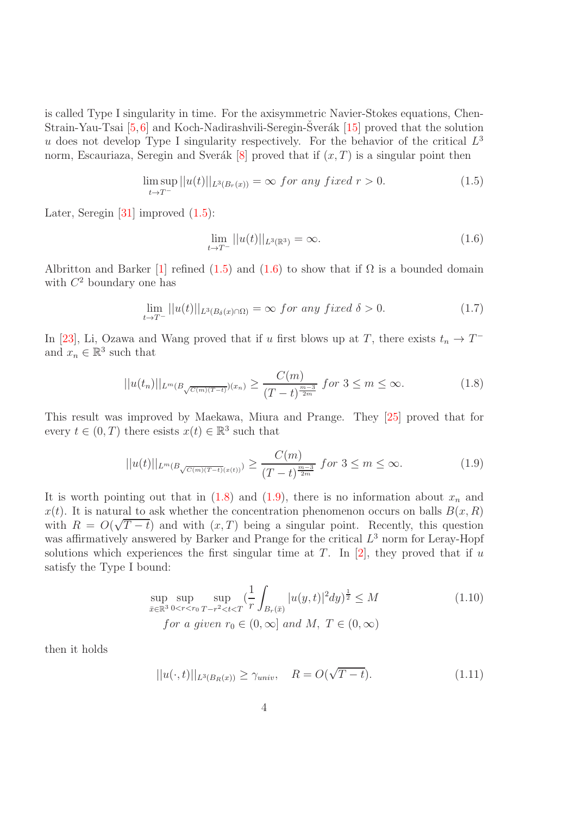is called Type I singularity in time. For the axisymmetric Navier-Stokes equations, Chen-Strain-Yau-Tsai  $[5,6]$  $[5,6]$  and Koch-Nadirashvili-Seregin-Sver $\acute{a}$ k [[15\]](#page-18-13) proved that the solution u does not develop Type I singularity respectively. For the behavior of the critical  $L^3$ norm, Escauriaza, Seregin and Sverák [\[8\]](#page-18-4) proved that if  $(x, T)$  is a singular point then

$$
\limsup_{t \to T^-} ||u(t)||_{L^3(B_r(x))} = \infty \text{ for any fixed } r > 0.
$$
\n(1.5)

Later, Seregin [\[31\]](#page-19-10) improved  $(1.5)$ :

<span id="page-3-3"></span><span id="page-3-2"></span><span id="page-3-1"></span><span id="page-3-0"></span>
$$
\lim_{t \to T^{-}} ||u(t)||_{L^{3}(\mathbb{R}^{3})} = \infty.
$$
\n(1.6)

Albritton and Barker [\[1\]](#page-17-0) refined [\(1.5\)](#page-3-0) and [\(1.6\)](#page-3-1) to show that if  $\Omega$  is a bounded domain with  $C^2$  boundary one has

$$
\lim_{t \to T^{-}} ||u(t)||_{L^{3}(B_{\delta}(x) \cap \Omega)} = \infty \ for \ any \ fixed \ \delta > 0.
$$
\n(1.7)

In [\[23\]](#page-19-11), Li, Ozawa and Wang proved that if u first blows up at T, there exists  $t_n \to T^$ and  $x_n \in \mathbb{R}^3$  such that

$$
||u(t_n)||_{L^m(B_{\sqrt{C(m)(T-t)}})(x_n)} \ge \frac{C(m)}{(T-t)^{\frac{m-3}{2m}}} \text{ for } 3 \le m \le \infty. \tag{1.8}
$$

This result was improved by Maekawa, Miura and Prange. They [\[25\]](#page-19-12) proved that for every  $t \in (0, T)$  there esists  $x(t) \in \mathbb{R}^3$  such that

$$
||u(t)||_{L^{m}(B_{\sqrt{C(m)(T-t)}(x(t))})} \ge \frac{C(m)}{(T-t)^{\frac{m-3}{2m}}} \text{ for } 3 \le m \le \infty.
$$
 (1.9)

It is worth pointing out that in  $(1.8)$  and  $(1.9)$ , there is no information about  $x_n$  and  $x(t)$ . It is natural to ask whether the concentration phenomenon occurs on balls  $B(x, R)$ with  $R = O(\sqrt{T-t})$  and with  $(x,T)$  being a singular point. Recently, this question was affirmatively answered by Barker and Prange for the critical  $L^3$  norm for Leray-Hopf solutions which experiences the first singular time at T. In  $[2]$ , they proved that if u satisfy the Type I bound:

$$
\sup_{\bar{x}\in\mathbb{R}^3} \sup_{0\le r\le r_0} \sup_{T-r^2\le t\le T} \left(\frac{1}{r} \int_{B_r(\bar{x})} |u(y,t)|^2 dy\right)^{\frac{1}{2}} \le M
$$
\n
$$
\text{for a given } r_0 \in (0,\infty] \text{ and } M, \ T \in (0,\infty)
$$
\n(1.10)

then it holds

$$
||u(\cdot,t)||_{L^{3}(B_{R}(x))} \geq \gamma_{univ}, \quad R = O(\sqrt{T-t}). \tag{1.11}
$$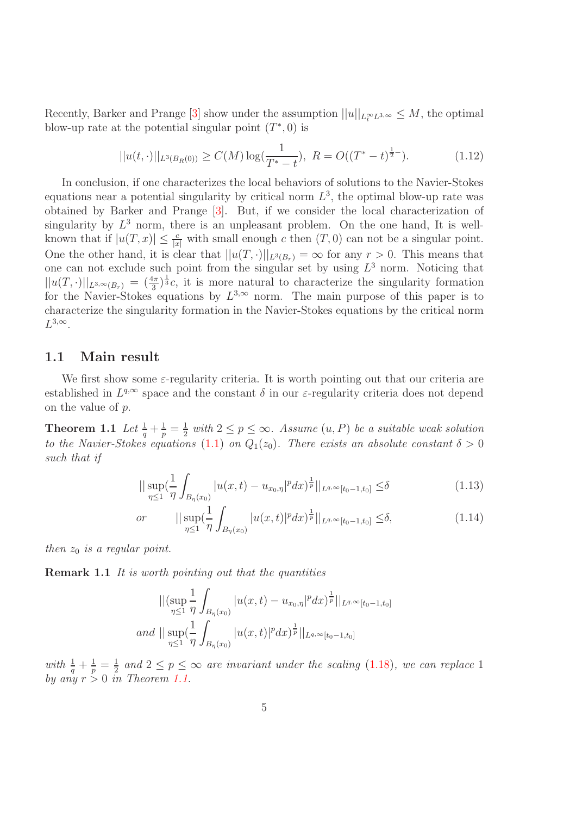Recently, Barker and Prange [\[3\]](#page-17-2) show under the assumption  $||u||_{L_t^{\infty}L^{3,\infty}} \leq M$ , the optimal blow-up rate at the potential singular point  $(T^*,0)$  is

$$
||u(t, \cdot)||_{L^{3}(B_{R}(0))} \ge C(M) \log(\frac{1}{T^{*}-t}), \ R = O((T^{*}-t)^{\frac{1}{2}-}). \tag{1.12}
$$

In conclusion, if one characterizes the local behaviors of solutions to the Navier-Stokes equations near a potential singularity by critical norm  $L^3$ , the optimal blow-up rate was obtained by Barker and Prange [\[3\]](#page-17-2). But, if we consider the local characterization of singularity by  $L^3$  norm, there is an unpleasant problem. On the one hand, It is wellknown that if  $|u(T,x)| \leq \frac{c}{|x|}$  with small enough c then  $(T, 0)$  can not be a singular point. One the other hand, it is clear that  $||u(T, \cdot)||_{L^3(B_r)} = \infty$  for any  $r > 0$ . This means that one can not exclude such point from the singular set by using  $L^3$  norm. Noticing that  $||u(T, \cdot)||_{L^{3,\infty}(B_r)} = (\frac{4\pi}{3})^{\frac{1}{3}}c$ , it is more natural to characterize the singularity formation for the Navier-Stokes equations by  $L^{3,\infty}$  norm. The main purpose of this paper is to characterize the singularity formation in the Navier-Stokes equations by the critical norm  $L^{3,\infty}$ .

#### 1.1 Main result

We first show some  $\varepsilon$ -regularity criteria. It is worth pointing out that our criteria are established in  $L^{q,\infty}$  space and the constant  $\delta$  in our  $\varepsilon$ -regularity criteria does not depend on the value of p.

**Theorem 1.1** Let  $\frac{1}{q} + \frac{1}{p} = \frac{1}{2}$  $\frac{1}{2}$  with  $2 \leq p \leq \infty$ . Assume  $(u, P)$  be a suitable weak solution to the Navier-Stokes equations [\(1.1\)](#page-1-0) on  $Q_1(z_0)$ . There exists an absolute constant  $\delta > 0$ such that if

<span id="page-4-0"></span>
$$
\|\sup_{\eta\leq 1} \left(\frac{1}{\eta} \int_{B_{\eta}(x_0)} |u(x,t) - u_{x_0,\eta}|^p dx\right)^{\frac{1}{p}}\|_{L^{q,\infty}[t_0-1,t_0]} \leq \delta \tag{1.13}
$$

or 
$$
||\sup_{\eta\leq 1} \left(\frac{1}{\eta} \int_{B_{\eta}(x_0)} |u(x,t)|^p dx\right)^{\frac{1}{p}} ||_{L^{q,\infty}[t_0-1,t_0]} \leq \delta,
$$
 (1.14)

then  $z_0$  is a regular point.

**Remark 1.1** It is worth pointing out that the quantities

$$
\begin{aligned} ||(\sup_{\eta \le 1} \frac{1}{\eta} \int_{B_{\eta}(x_0)} |u(x,t) - u_{x_0,\eta}|^p dx \big)^{\frac{1}{p}} ||_{L^{q,\infty}[t_0-1,t_0]} \\ \text{and } ||\sup_{\eta \le 1} (\frac{1}{\eta} \int_{B_{\eta}(x_0)} |u(x,t)|^p dx \big)^{\frac{1}{p}} ||_{L^{q,\infty}[t_0-1,t_0]} \end{aligned}
$$

with  $\frac{1}{q} + \frac{1}{p} = \frac{1}{2}$  $\frac{1}{2}$  and  $2 \le p \le \infty$  are invariant under the scaling [\(1.18\)](#page-6-0), we can replace 1 by any  $r > 0$  in Theorem [1.1.](#page-4-0)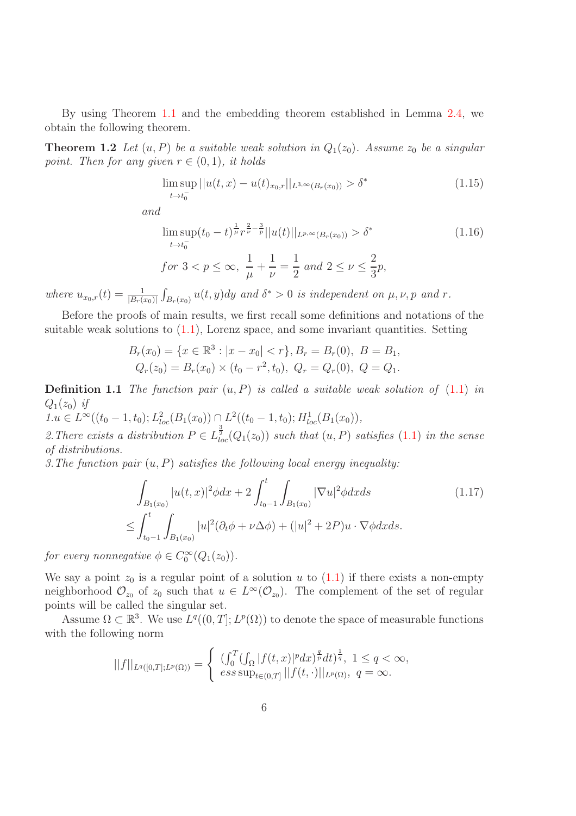By using Theorem [1.1](#page-4-0) and the embedding theorem established in Lemma [2.4,](#page-15-0) we obtain the following theorem.

**Theorem 1.2** Let  $(u, P)$  be a suitable weak solution in  $Q_1(z_0)$ . Assume  $z_0$  be a singular point. Then for any given  $r \in (0,1)$ , it holds

<span id="page-5-1"></span>
$$
\limsup_{t \to t_0^-} ||u(t, x) - u(t)_{x_0, r}||_{L^{3,\infty}(B_r(x_0))} > \delta^*
$$
\n(1.15)

and

$$
\limsup_{t \to t_0^-} (t_0 - t)^{\frac{1}{\mu}} r^{\frac{2}{\nu} - \frac{3}{p}} ||u(t)||_{L^{p,\infty}(B_r(x_0))} > \delta^*
$$
\n
$$
\text{for } 3 < p \le \infty, \ \frac{1}{\mu} + \frac{1}{\nu} = \frac{1}{2} \ and \ 2 \le \nu \le \frac{2}{3}p,
$$
\n
$$
(1.16)
$$

where  $u_{x_0,r}(t) = \frac{1}{|B_r(x_0)|} \int_{B_r(x_0)} u(t, y) dy$  and  $\delta^* > 0$  is independent on  $\mu, \nu, p$  and  $r$ .

Before the proofs of main results, we first recall some definitions and notations of the suitable weak solutions to  $(1.1)$ , Lorenz space, and some invariant quantities. Setting

$$
B_r(x_0) = \{x \in \mathbb{R}^3 : |x - x_0| < r\}, B_r = B_r(0), \ B = B_1,
$$
\n
$$
Q_r(z_0) = B_r(x_0) \times (t_0 - r^2, t_0), \ Q_r = Q_r(0), \ Q = Q_1.
$$

**Definition 1.1** The function pair  $(u, P)$  is called a suitable weak solution of  $(1.1)$  in  $Q_1(z_0)$  if

 $1.u \in L^{\infty}((t_0 - 1, t_0); L^2_{loc}(B_1(x_0)) \cap L^2((t_0 - 1, t_0); H^1_{loc}(B_1(x_0))),$ 2. There exists a distribution  $P \in L^{\frac{3}{2}}_{loc}(Q_1(z_0))$  such that  $(u, P)$  satisfies  $(1.1)$  in the sense of distributions.

3. The function pair  $(u, P)$  satisfies the following local energy inequality:

<span id="page-5-0"></span>
$$
\int_{B_1(x_0)} |u(t,x)|^2 \phi dx + 2 \int_{t_0-1}^t \int_{B_1(x_0)} |\nabla u|^2 \phi dx ds \qquad (1.17)
$$
\n
$$
\leq \int_{t_0-1}^t \int_{B_1(x_0)} |u|^2 (\partial_t \phi + \nu \Delta \phi) + (|u|^2 + 2P) u \cdot \nabla \phi dx ds.
$$

for every nonnegative  $\phi \in C_0^{\infty}(Q_1(z_0)).$ 

We say a point  $z_0$  is a regular point of a solution u to [\(1.1\)](#page-1-0) if there exists a non-empty neighborhood  $\mathcal{O}_{z_0}$  of  $z_0$  such that  $u \in L^{\infty}(\mathcal{O}_{z_0})$ . The complement of the set of regular points will be called the singular set.

Assume  $\Omega \subset \mathbb{R}^3$ . We use  $L^q((0,T]; L^p(\Omega))$  to denote the space of measurable functions with the following norm

$$
||f||_{L^{q}([0,T];L^{p}(\Omega))} = \begin{cases} \left(\int_{0}^{T} (\int_{\Omega} |f(t,x)|^{p} dx)^{\frac{q}{p}} dt\right)^{\frac{1}{q}}, & 1 \leq q < \infty, \\ \text{ess sup}_{t \in (0,T]} ||f(t,\cdot)||_{L^{p}(\Omega)}, & q = \infty. \end{cases}
$$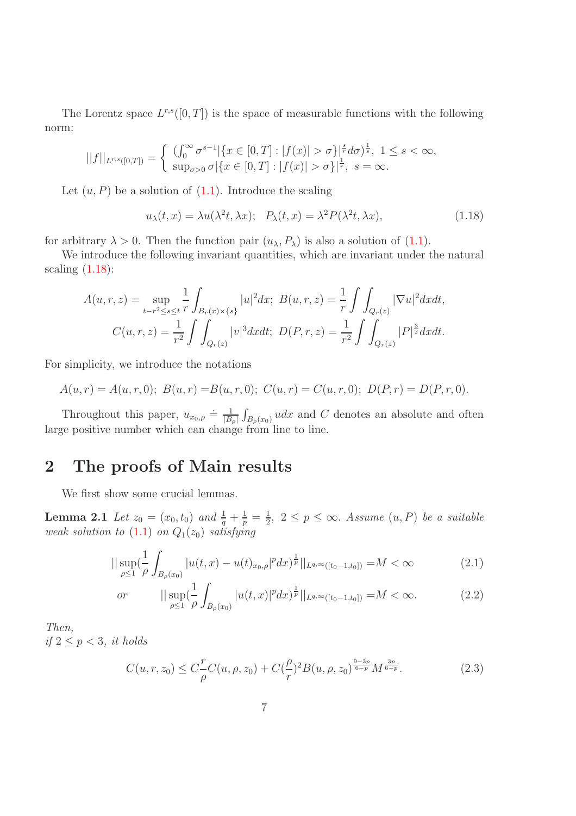The Lorentz space  $L^{r,s}([0,T])$  is the space of measurable functions with the following norm:

$$
||f||_{L^{r,s}([0,T])} = \begin{cases} ( \int_0^\infty \sigma^{s-1} |\{x \in [0,T] : |f(x)| > \sigma\}^{\frac{s}{r}} d\sigma)^{\frac{1}{s}}, & 1 \le s < \infty, \\ \sup_{\sigma > 0} \sigma |\{x \in [0,T] : |f(x)| > \sigma\}^{\frac{1}{r}}, & s = \infty. \end{cases}
$$

Let  $(u, P)$  be a solution of  $(1.1)$ . Introduce the scaling

<span id="page-6-0"></span>
$$
u_{\lambda}(t,x) = \lambda u(\lambda^2 t, \lambda x); \quad P_{\lambda}(t,x) = \lambda^2 P(\lambda^2 t, \lambda x), \tag{1.18}
$$

for arbitrary  $\lambda > 0$ . Then the function pair  $(u_\lambda, P_\lambda)$  is also a solution of [\(1.1\)](#page-1-0).

We introduce the following invariant quantities, which are invariant under the natural scaling  $(1.18)$ :

$$
A(u,r,z) = \sup_{t-r^2 \le s \le t} \frac{1}{r} \int_{B_r(x) \times \{s\}} |u|^2 dx; \ B(u,r,z) = \frac{1}{r} \int \int_{Q_r(z)} |\nabla u|^2 dx dt,
$$
  

$$
C(u,r,z) = \frac{1}{r^2} \int \int_{Q_r(z)} |v|^3 dx dt; \ D(P,r,z) = \frac{1}{r^2} \int \int_{Q_r(z)} |P|^{\frac{3}{2}} dx dt.
$$

For simplicity, we introduce the notations

$$
A(u,r) = A(u,r,0); B(u,r) = B(u,r,0); C(u,r) = C(u,r,0); D(P,r) = D(P,r,0).
$$

Throughout this paper,  $u_{x_0,\rho} \doteq \frac{1}{|B|}$  $\frac{1}{|B_{\rho}|}\int_{B_{\rho}(x_0)} u dx$  and C denotes an absolute and often large positive number which can change from line to line.

## 2 The proofs of Main results

We first show some crucial lemmas.

**Lemma 2.1** Let  $z_0 = (x_0, t_0)$  and  $\frac{1}{q} + \frac{1}{p} = \frac{1}{2}$  $\frac{1}{2}$ ,  $2 \leq p \leq \infty$ . Assume  $(u, P)$  be a suitable weak solution to  $(1.1)$  on  $Q_1(z_0)$  satisfying

<span id="page-6-2"></span>
$$
||\sup_{\rho\leq 1} \left(\frac{1}{\rho} \int_{B_{\rho}(x_0)} |u(t,x) - u(t)_{x_0,\rho}|^p dx\right)^{\frac{1}{p}} ||_{L^{q,\infty}([t_0-1,t_0])} = M < \infty
$$
\n(2.1)

or 
$$
\|\sup_{\rho\leq 1}(\frac{1}{\rho}\int_{B_{\rho}(x_0)}|u(t,x)|^pdx)^{\frac{1}{p}}\|_{L^{q,\infty}([t_0-1,t_0])}=M<\infty.
$$
 (2.2)

Then, if  $2 \leq p < 3$ , it holds

<span id="page-6-1"></span>
$$
C(u,r,z_0) \le C \frac{r}{\rho} C(u,\rho,z_0) + C \frac{\rho}{r}^2 B(u,\rho,z_0)^{\frac{9-3p}{6-p}} M^{\frac{3p}{6-p}}.
$$
\n(2.3)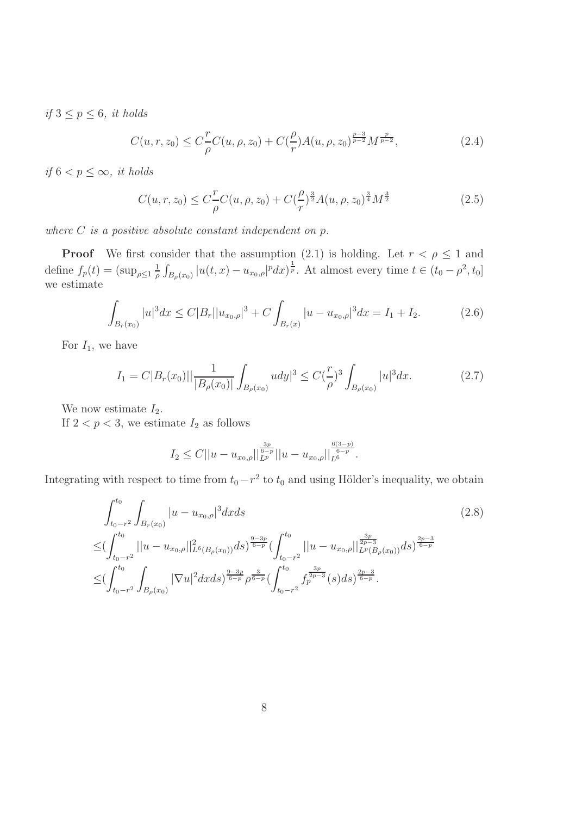if  $3 \leq p \leq 6$ , it holds

$$
C(u, r, z_0) \le C \frac{r}{\rho} C(u, \rho, z_0) + C(\frac{\rho}{r}) A(u, \rho, z_0)^{\frac{p-3}{p-2}} M^{\frac{p}{p-2}},
$$
\n(2.4)

if  $6 < p \leq \infty$ , it holds

<span id="page-7-4"></span><span id="page-7-3"></span>
$$
C(u, r, z_0) \le C \frac{r}{\rho} C(u, \rho, z_0) + C \frac{\rho}{r}^{\frac{3}{2}} A(u, \rho, z_0)^{\frac{3}{4}} M^{\frac{3}{2}}
$$
(2.5)

where  $C$  is a positive absolute constant independent on  $p$ .

**Proof** We first consider that the assumption (2.1) is holding. Let  $r < \rho \leq 1$  and define  $f_p(t) = (\sup_{\rho \leq 1} \frac{1}{\rho})$  $\frac{1}{\rho} \int_{B_{\rho}(x_0)} |u(t,x) - u_{x_0,\rho}|^p dx \, dx$ <sup>1</sup>. At almost every time  $t \in (t_0 - \rho^2, t_0]$ we estimate

$$
\int_{B_r(x_0)} |u|^3 dx \le C|B_r||u_{x_0,\rho}|^3 + C \int_{B_r(x)} |u - u_{x_0,\rho}|^3 dx = I_1 + I_2.
$$
 (2.6)

For  $I_1$ , we have

$$
I_1 = C|B_r(x_0)|| \frac{1}{|B_\rho(x_0)|} \int_{B_\rho(x_0)} u dy|^3 \le C(\frac{r}{\rho})^3 \int_{B_\rho(x_0)} |u|^3 dx. \tag{2.7}
$$

We now estimate  $I_2$ .

If  $2 < p < 3$ , we estimate  $I_2$  as follows

<span id="page-7-2"></span><span id="page-7-1"></span><span id="page-7-0"></span>
$$
I_2 \leq C ||u - u_{x_0, \rho}||_{L^p}^{\frac{3p}{6-p}} ||u - u_{x_0, \rho}||_{L^6}^{\frac{6(3-p)}{6-p}}.
$$

Integrating with respect to time from  $t_0-r^2$  to  $t_0$  and using Hölder's inequality, we obtain

$$
\int_{t_0 - r^2}^{t_0} \int_{B_r(x_0)} |u - u_{x_0, \rho}|^3 dx ds \qquad (2.8)
$$
\n
$$
\leq \left( \int_{t_0 - r^2}^{t_0} ||u - u_{x_0, \rho}||_{L^6(B_\rho(x_0))}^2 ds \right)^{\frac{9-3p}{6-p}} \left( \int_{t_0 - r^2}^{t_0} ||u - u_{x_0, \rho}||_{L^p(B_\rho(x_0))}^{\frac{3p}{2p-3}} ds \right)^{\frac{2p-3}{6-p}} \n\leq \left( \int_{t_0 - r^2}^{t_0} \int_{B_\rho(x_0)} |\nabla u|^2 dx ds \right)^{\frac{9-3p}{6-p}} \rho^{\frac{3}{6-p}} \left( \int_{t_0 - r^2}^{t_0} f_p^{\frac{3p}{2p-3}}(s) ds \right)^{\frac{2p-3}{6-p}}.
$$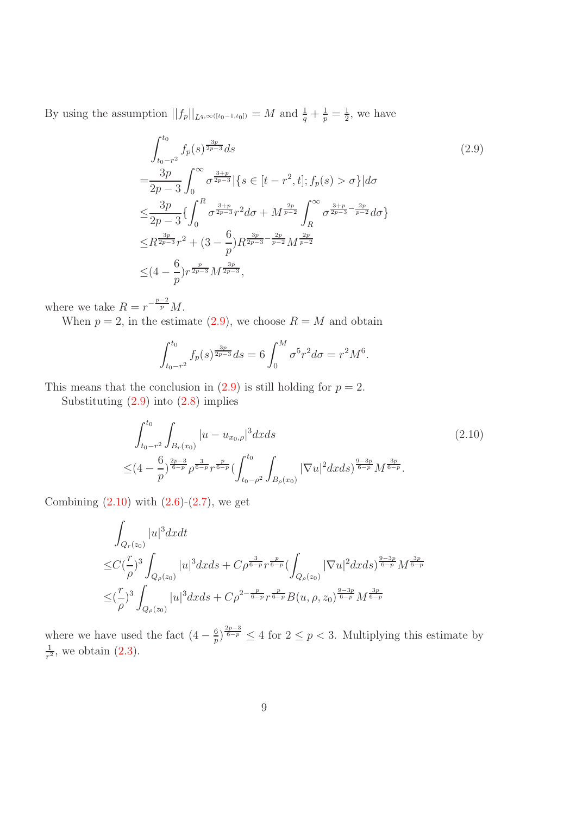By using the assumption  $||f_p||_{L^{q,\infty([t_0-1,t_0])}} = M$  and  $\frac{1}{q} + \frac{1}{p} = \frac{1}{2}$  $\frac{1}{2}$ , we have

<span id="page-8-0"></span>
$$
\int_{t_0-r^2}^{t_0} f_p(s)^{\frac{3p}{2p-3}} ds
$$
\n
$$
= \frac{3p}{2p-3} \int_0^\infty \sigma^{\frac{3+p}{2p-3}} \{s \in [t-r^2, t]; f_p(s) > \sigma\} | d\sigma
$$
\n
$$
\leq \frac{3p}{2p-3} \{ \int_0^R \sigma^{\frac{3+p}{2p-3}} r^2 d\sigma + M^{\frac{2p}{p-2}} \int_R^\infty \sigma^{\frac{3+p}{2p-3} - \frac{2p}{p-2}} d\sigma \}
$$
\n
$$
\leq R^{\frac{3p}{2p-3}} r^2 + (3 - \frac{6}{p}) R^{\frac{3p}{2p-3} - \frac{2p}{p-2}} M^{\frac{2p}{p-2}}
$$
\n
$$
\leq (4 - \frac{6}{p}) r^{\frac{p}{2p-3}} M^{\frac{3p}{2p-3}},
$$
\n(2.9)

where we take  $R = r^{-\frac{p-2}{p}}M$ .

When  $p = 2$ , in the estimate [\(2.9\)](#page-8-0), we choose  $R = M$  and obtain

<span id="page-8-1"></span>
$$
\int_{t_0-r^2}^{t_0} f_p(s)^{\frac{3p}{2p-3}} ds = 6 \int_0^M \sigma^5 r^2 d\sigma = r^2 M^6.
$$

This means that the conclusion in  $(2.9)$  is still holding for  $p = 2$ .

Substituting [\(2.9\)](#page-8-0) into [\(2.8\)](#page-7-0) implies

$$
\int_{t_0 - r^2}^{t_0} \int_{B_r(x_0)} |u - u_{x_0, \rho}|^3 dx ds \qquad (2.10)
$$
\n
$$
\leq (4 - \frac{6}{p})^{\frac{2p - 3}{6 - p}} \rho^{\frac{3}{6 - p}} r^{\frac{p}{6 - p}} \left( \int_{t_0 - \rho^2}^{t_0} \int_{B_\rho(x_0)} |\nabla u|^2 dx ds \right)^{\frac{9 - 3p}{6 - p}} M^{\frac{3p}{6 - p}}.
$$

Combining  $(2.10)$  with  $(2.6)-(2.7)$  $(2.6)-(2.7)$ , we get

$$
\int_{Q_r(z_0)} |u|^3 dxdt
$$
\n
$$
\leq C(\frac{r}{\rho})^3 \int_{Q_\rho(z_0)} |u|^3 dxds + C\rho^{\frac{3}{6-p}} r^{\frac{p}{6-p}} (\int_{Q_\rho(z_0)} |\nabla u|^2 dxds)^{\frac{9-3p}{6-p}} M^{\frac{3p}{6-p}}
$$
\n
$$
\leq (\frac{r}{\rho})^3 \int_{Q_\rho(z_0)} |u|^3 dxds + C\rho^{2-\frac{p}{6-p}} r^{\frac{p}{6-p}} B(u, \rho, z_0)^{\frac{9-3p}{6-p}} M^{\frac{3p}{6-p}}
$$

where we have used the fact  $(4-\frac{6}{p})$  $\frac{6}{p}$ ,  $\frac{2p-3}{6-p} \leq 4$  for  $2 \leq p < 3$ . Multiplying this estimate by 1  $\frac{1}{r^2}$ , we obtain  $(2.3)$ .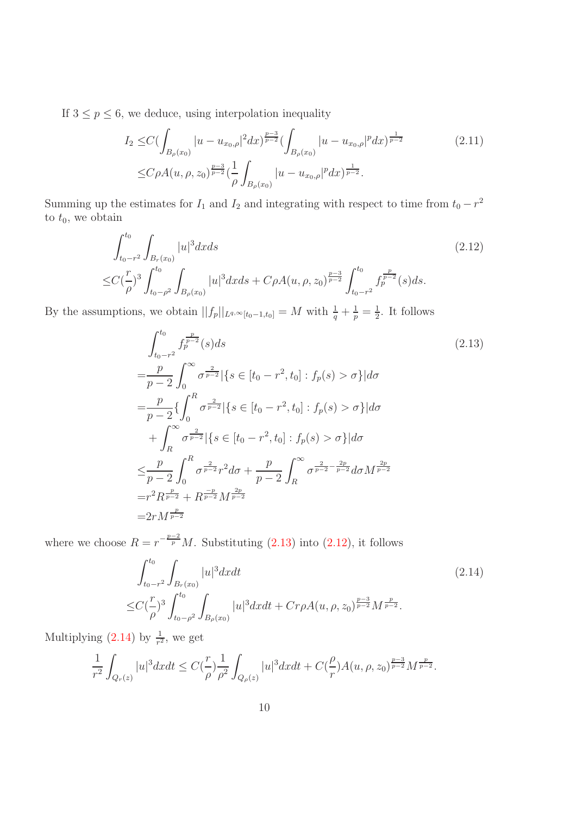If  $3 \le p \le 6$ , we deduce, using interpolation inequality

$$
I_2 \leq C \left( \int_{B_{\rho}(x_0)} |u - u_{x_0,\rho}|^2 dx \right)^{\frac{p-3}{p-2}} \left( \int_{B_{\rho}(x_0)} |u - u_{x_0,\rho}|^p dx \right)^{\frac{1}{p-2}} \tag{2.11}
$$
  

$$
\leq C \rho A(u,\rho,z_0)^{\frac{p-3}{p-2}} \left( \frac{1}{\rho} \int_{B_{\rho}(x_0)} |u - u_{x_0,\rho}|^p dx \right)^{\frac{1}{p-2}}.
$$

Summing up the estimates for  $I_1$  and  $I_2$  and integrating with respect to time from  $t_0 - r^2$ to  $t_0$ , we obtain

$$
\int_{t_0 - r^2}^{t_0} \int_{B_r(x_0)} |u|^3 dx ds \tag{2.12}
$$
\n
$$
\leq C \left(\frac{r}{\rho}\right)^3 \int_{t_0 - \rho^2}^{t_0} \int_{B_\rho(x_0)} |u|^3 dx ds + C\rho A(u, \rho, z_0)^{\frac{p-3}{p-2}} \int_{t_0 - r^2}^{t_0} f_p^{\frac{p}{p-2}}(s) ds.
$$

By the assumptions, we obtain  $||f_p||_{L^{q,\infty}[t_0-1,t_0]} = M$  with  $\frac{1}{q} + \frac{1}{p} = \frac{1}{2}$  $\frac{1}{2}$ . It follows

<span id="page-9-1"></span><span id="page-9-0"></span>
$$
\int_{t_0 - r^2}^{t_0} f_p^{\frac{p}{p-2}}(s) ds
$$
\n
$$
= \frac{p}{p-2} \int_0^\infty \sigma^{\frac{2}{p-2}} |\{s \in [t_0 - r^2, t_0] : f_p(s) > \sigma\}| d\sigma
$$
\n
$$
= \frac{p}{p-2} \{ \int_0^R \sigma^{\frac{2}{p-2}} |\{s \in [t_0 - r^2, t_0] : f_p(s) > \sigma\}| d\sigma
$$
\n
$$
+ \int_R^\infty \sigma^{\frac{2}{p-2}} |\{s \in [t_0 - r^2, t_0] : f_p(s) > \sigma\}| d\sigma
$$
\n
$$
\leq \frac{p}{p-2} \int_0^R \sigma^{\frac{2}{p-2}} r^2 d\sigma + \frac{p}{p-2} \int_R^\infty \sigma^{\frac{2}{p-2} - \frac{2p}{p-2}} d\sigma M^{\frac{2p}{p-2}}
$$
\n
$$
= r^2 R^{\frac{p}{p-2}} + R^{\frac{-p}{p-2}} M^{\frac{2p}{p-2}}
$$
\n
$$
= 2r M^{\frac{p}{p-2}}
$$
\n(2.13)

where we choose  $R = r^{-\frac{p-2}{p}}M$ . Substituting [\(2.13\)](#page-9-0) into [\(2.12\)](#page-9-1), it follows

<span id="page-9-2"></span>
$$
\int_{t_0 - r^2}^{t_0} \int_{B_r(x_0)} |u|^3 dx dt \tag{2.14}
$$
\n
$$
\leq C \left(\frac{r}{\rho}\right)^3 \int_{t_0 - \rho^2}^{t_0} \int_{B_\rho(x_0)} |u|^3 dx dt + C r \rho A(u, \rho, z_0)^{\frac{p-3}{p-2}} M^{\frac{p}{p-2}}.
$$

Multiplying  $(2.14)$  by  $\frac{1}{r^2}$ , we get

$$
\frac{1}{r^2} \int_{Q_r(z)} |u|^3 dx dt \le C\left(\frac{r}{\rho}\right) \frac{1}{\rho^2} \int_{Q_\rho(z)} |u|^3 dx dt + C\left(\frac{\rho}{r}\right) A(u, \rho, z_0)^{\frac{p-3}{p-2}} M^{\frac{p}{p-2}}.
$$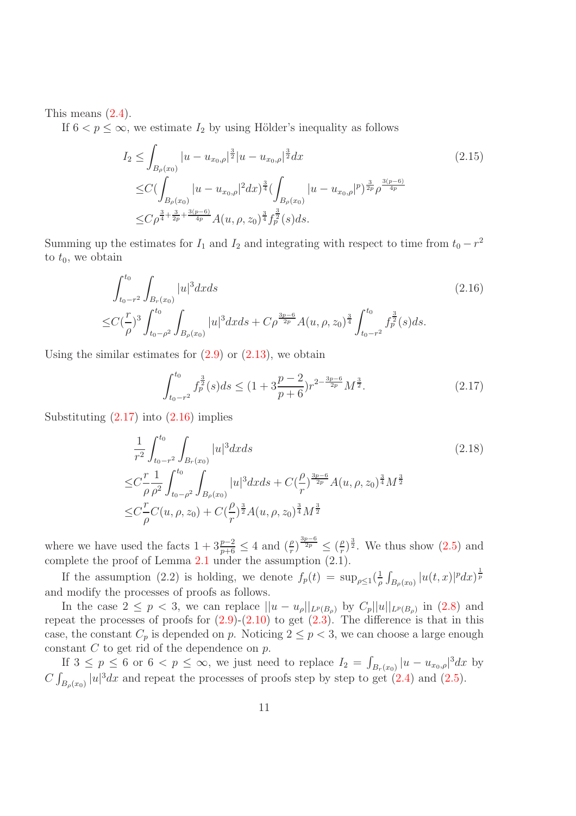This means [\(2.4\)](#page-7-3).

If  $6 < p \leq \infty$ , we estimate  $I_2$  by using Hölder's inequality as follows

$$
I_2 \leq \int_{B_{\rho}(x_0)} |u - u_{x_0,\rho}|^{\frac{3}{2}} |u - u_{x_0,\rho}|^{\frac{3}{2}} dx
$$
\n
$$
\leq C \Big(\int_{B_{\rho}(x_0)} |u - u_{x_0,\rho}|^2 dx\Big)^{\frac{3}{4}} \Big(\int_{B_{\rho}(x_0)} |u - u_{x_0,\rho}|^p \Big)^{\frac{3}{2p}} \rho^{\frac{3(p-6)}{4p}}
$$
\n
$$
\leq C \rho^{\frac{3}{4} + \frac{3}{2p} + \frac{3(p-6)}{4p}} A(u, \rho, z_0)^{\frac{3}{4}} f_p^{\frac{3}{2}}(s) ds.
$$
\n
$$
(2.15)
$$

Summing up the estimates for  $I_1$  and  $I_2$  and integrating with respect to time from  $t_0 - r^2$ to  $t_0$ , we obtain

$$
\int_{t_0 - r^2}^{t_0} \int_{B_r(x_0)} |u|^3 dx ds \tag{2.16}
$$
\n
$$
\leq C \left(\frac{r}{\rho}\right)^3 \int_{t_0 - \rho^2}^{t_0} \int_{B_\rho(x_0)} |u|^3 dx ds + C \rho^{\frac{3p-6}{2p}} A(u, \rho, z_0)^{\frac{3}{4}} \int_{t_0 - r^2}^{t_0} f_p^{\frac{3}{2}}(s) ds.
$$

Using the similar estimates for  $(2.9)$  or  $(2.13)$ , we obtain

<span id="page-10-1"></span><span id="page-10-0"></span>
$$
\int_{t_0 - r^2}^{t_0} f_p^{\frac{3}{2}}(s) ds \le (1 + 3\frac{p-2}{p+6}) r^{2 - \frac{3p-6}{2p}} M^{\frac{3}{2}}.
$$
 (2.17)

Substituting  $(2.17)$  into  $(2.16)$  implies

$$
\frac{1}{r^2} \int_{t_0 - r^2}^{t_0} \int_{B_r(x_0)} |u|^3 dx ds
$$
\n
$$
\leq C \frac{r}{\rho} \frac{1}{\rho^2} \int_{t_0 - \rho^2}^{t_0} \int_{B_\rho(x_0)} |u|^3 dx ds + C \left(\frac{\rho}{r}\right)^{\frac{3p-6}{2p}} A(u, \rho, z_0)^{\frac{3}{4}} M^{\frac{3}{2}}
$$
\n
$$
\leq C \frac{r}{\rho} C(u, \rho, z_0) + C \left(\frac{\rho}{r}\right)^{\frac{3}{2}} A(u, \rho, z_0)^{\frac{3}{4}} M^{\frac{3}{2}}
$$
\n(2.18)

where we have used the facts  $1 + 3\frac{p-2}{p+6} \leq 4$  and  $\left(\frac{\rho}{r}\right)^{\frac{3p-6}{2p}} \leq \left(\frac{\rho}{r}\right)$  $\frac{\rho}{r})^{\frac{3}{2}}$ . We thus show  $(2.5)$  and complete the proof of Lemma [2.1](#page-6-2) under the assumption (2.1).

If the assumption (2.2) is holding, we denote  $f_p(t) = \sup_{\rho \leq 1} \left( \frac{1}{\rho} \right)$  $\frac{1}{\rho}\int_{B_\rho(x_0)}|u(t,x)|^pdx)^{\frac{1}{p}}$ and modify the processes of proofs as follows.

In the case  $2 \le p < 3$ , we can replace  $||u - u_{\rho}||_{L^p(B_{\rho})}$  by  $C_p||u||_{L^p(B_{\rho})}$  in [\(2.8\)](#page-7-0) and repeat the processes of proofs for  $(2.9)-(2.10)$  $(2.9)-(2.10)$  to get  $(2.3)$ . The difference is that in this case, the constant  $C_p$  is depended on p. Noticing  $2 \le p < 3$ , we can choose a large enough constant  $C$  to get rid of the dependence on  $p$ .

<span id="page-10-2"></span>If  $3 \leq p \leq 6$  or  $6 < p \leq \infty$ , we just need to replace  $I_2 = \int_{B_r(x_0)} |u - u_{x_0,\rho}|^3 dx$  by  $C \int_{B_{\rho}(x_0)} |u|^3 dx$  and repeat the processes of proofs step by step to get [\(2.4\)](#page-7-3) and [\(2.5\)](#page-7-4).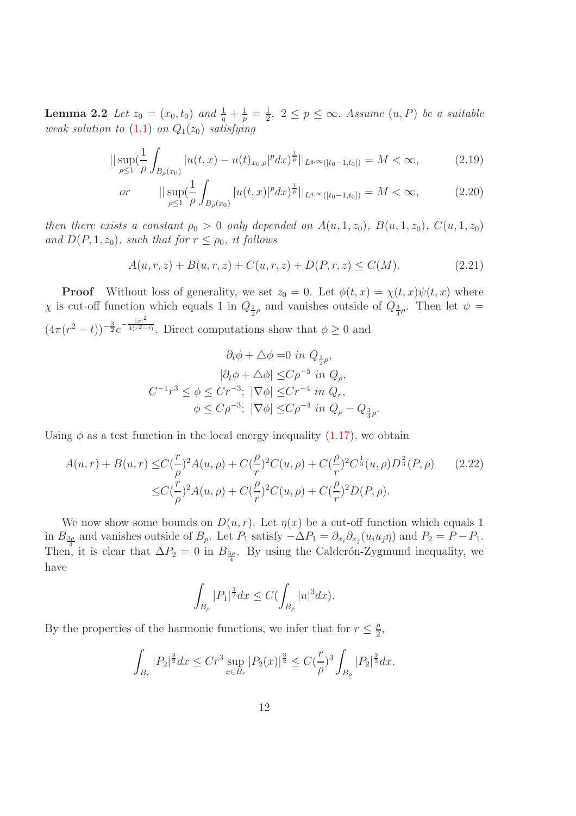**Lemma 2.2** Let  $z_0 = (x_0, t_0)$  and  $\frac{1}{q} + \frac{1}{p} = \frac{1}{2}$  $\frac{1}{2}$ ,  $2 \leq p \leq \infty$ . Assume  $(u, P)$  be a suitable weak solution to  $(1.1)$  on  $Q_1(z_0)$  satisfying

$$
||\sup_{\rho\leq 1} \left(\frac{1}{\rho} \int_{B_{\rho}(x_0)} |u(t,x) - u(t)_{x_0,\rho}|^p dx\right)^{\frac{1}{p}}||_{L^{q,\infty}([t_0-1,t_0])} = M < \infty,
$$
\n(2.19)

or 
$$
\|\sup_{\rho\leq 1} \left(\frac{1}{\rho}\int_{B_{\rho}(x_0)} |u(t,x)|^p dx\right)^{\frac{1}{p}}\|_{L^{q,\infty}([t_0-1,t_0])} = M < \infty,
$$
 (2.20)

then there exists a constant  $\rho_0 > 0$  only depended on  $A(u, 1, z_0)$ ,  $B(u, 1, z_0)$ ,  $C(u, 1, z_0)$ and  $D(P, 1, z_0)$ , such that for  $r \leq \rho_0$ , it follows

$$
A(u,r,z) + B(u,r,z) + C(u,r,z) + D(P,r,z) \le C(M). \tag{2.21}
$$

<span id="page-11-1"></span><span id="page-11-0"></span>.

**Proof** Without loss of generality, we set  $z_0 = 0$ . Let  $\phi(t, x) = \chi(t, x)\psi(t, x)$  where  $\chi$  is cut-off function which equals 1 in  $Q_{\frac{1}{2}\rho}$  and vanishes outside of  $Q_{\frac{3}{4}\rho}$ . Then let  $\psi =$  $(4\pi(r^2-t))^{-\frac{3}{2}}e^{-\frac{|x|^2}{4(r^2-t)}}$  $\frac{4(r^2-t)}{r^2}$ . Direct computations show that  $\phi \geq 0$  and

$$
\partial_t \phi + \Delta \phi = 0 \text{ in } Q_{\frac{1}{2}\rho},
$$

$$
|\partial_t \phi + \Delta \phi| \leq C\rho^{-5} \text{ in } Q_\rho,
$$

$$
C^{-1}r^3 \leq \phi \leq Cr^{-3}; \ |\nabla \phi| \leq Cr^{-4} \text{ in } Q_r,
$$

$$
\phi \leq C\rho^{-3}; \ |\nabla \phi| \leq C\rho^{-4} \text{ in } Q_\rho - Q_{\frac{3}{4}\rho}
$$

Using  $\phi$  as a test function in the local energy inequality [\(1.17\)](#page-5-0), we obtain

$$
A(u,r) + B(u,r) \leq C(\frac{r}{\rho})^2 A(u,\rho) + C(\frac{\rho}{r})^2 C(u,\rho) + C(\frac{\rho}{r})^2 C^{\frac{1}{3}}(u,\rho) D^{\frac{2}{3}}(P,\rho)
$$
(2.22)  

$$
\leq C(\frac{r}{\rho})^2 A(u,\rho) + C(\frac{\rho}{r})^2 C(u,\rho) + C(\frac{\rho}{r})^2 D(P,\rho).
$$

We now show some bounds on  $D(u, r)$ . Let  $\eta(x)$  be a cut-off function which equals 1 in  $B_{\frac{3\rho}{4}}$  and vanishes outside of  $B_{\rho}$ . Let  $P_1$  satisfy  $-\Delta P_1 = \partial_{x_i}\partial_{x_j}(u_iu_j\eta)$  and  $P_2 = P - P_1$ . Then, it is clear that  $\Delta P_2 = 0$  in  $B_{\frac{3\rho}{4}}$ . By using the Calderón-Zygmund inequality, we have

$$
\int_{B_{\rho}} |P_1|^{\frac{3}{2}} dx \le C(\int_{B_{\rho}} |u|^3 dx).
$$

By the properties of the harmonic functions, we infer that for  $r \leq \frac{\rho}{2}$  $\frac{\rho}{2}$ 

$$
\int_{B_r} |P_2|^{\frac{3}{2}} dx \le Cr^3 \sup_{x \in B_r} |P_2(x)|^{\frac{3}{2}} \le C(\frac{r}{\rho})^3 \int_{B_\rho} |P_2|^{\frac{3}{2}} dx.
$$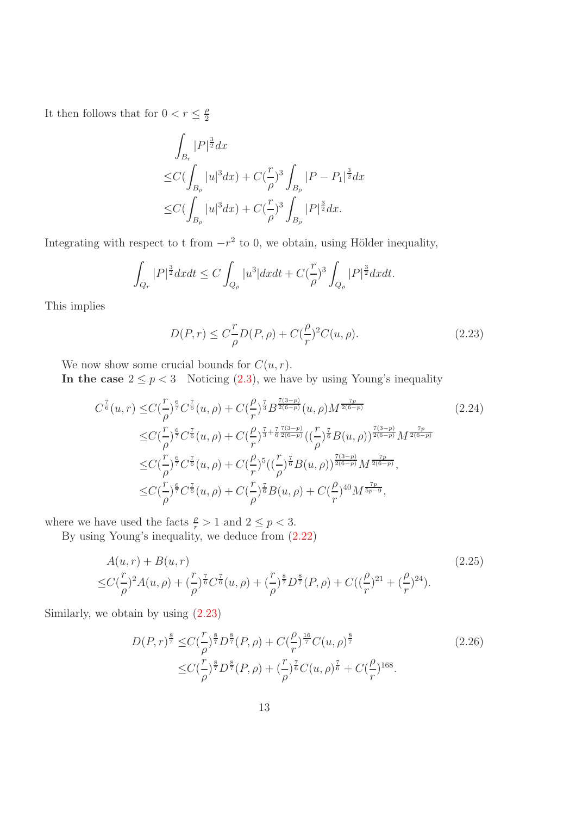It then follows that for  $0 < r \leq \frac{\rho}{2}$ 2

$$
\int_{B_r} |P|^{\frac{3}{2}} dx
$$
\n
$$
\leq C \big( \int_{B_\rho} |u|^3 dx \big) + C \big( \frac{r}{\rho} \big)^3 \int_{B_\rho} |P - P_1|^{\frac{3}{2}} dx
$$
\n
$$
\leq C \big( \int_{B_\rho} |u|^3 dx \big) + C \big( \frac{r}{\rho} \big)^3 \int_{B_\rho} |P|^{\frac{3}{2}} dx.
$$

Integrating with respect to t from  $-r^2$  to 0, we obtain, using Hölder inequality,

$$
\int_{Q_r} |P|^{\frac{3}{2}} dx dt \le C \int_{Q_\rho} |u^3| dx dt + C(\frac{r}{\rho})^3 \int_{Q_\rho} |P|^{\frac{3}{2}} dx dt.
$$

This implies

<span id="page-12-1"></span><span id="page-12-0"></span>
$$
D(P,r) \le C_{\rho}^{T} D(P,\rho) + C(\frac{\rho}{r})^{2} C(u,\rho).
$$
\n(2.23)

We now show some crucial bounds for  $C(u, r)$ .

In the case  $2 \le p < 3$  Noticing [\(2.3\)](#page-6-1), we have by using Young's inequality

$$
C^{\frac{7}{6}}(u,r) \leq C(\frac{r}{\rho})^{\frac{6}{7}} C^{\frac{7}{6}}(u,\rho) + C(\frac{\rho}{r})^{\frac{7}{3}} B^{\frac{7(3-p)}{2(6-p)}}(u,\rho) M^{\frac{7p}{2(6-p)}} \n\leq C(\frac{r}{\rho})^{\frac{6}{7}} C^{\frac{7}{6}}(u,\rho) + C(\frac{\rho}{r})^{\frac{7}{3} + \frac{7}{6} \frac{7(3-p)}{2(6-p)}}((\frac{r}{\rho})^{\frac{7}{6}} B(u,\rho))^{\frac{7(3-p)}{2(6-p)}} M^{\frac{7p}{2(6-p)}} \n\leq C(\frac{r}{\rho})^{\frac{6}{7}} C^{\frac{7}{6}}(u,\rho) + C(\frac{\rho}{r})^5 ((\frac{r}{\rho})^{\frac{7}{6}} B(u,\rho))^{\frac{7(3-p)}{2(6-p)}} M^{\frac{7p}{2(6-p)}}, \n\leq C(\frac{r}{\rho})^{\frac{6}{7}} C^{\frac{7}{6}}(u,\rho) + C(\frac{r}{\rho})^{\frac{7}{6}} B(u,\rho) + C(\frac{\rho}{r})^{40} M^{\frac{7p}{5p-9}},
$$
\n(2.24)

where we have used the facts  $\frac{\rho}{r} > 1$  and  $2 \le p < 3$ .

By using Young's inequality, we deduce from [\(2.22\)](#page-11-0)

$$
A(u,r) + B(u,r) \tag{2.25}
$$
  

$$
\leq C(\frac{r}{\rho})^2 A(u,\rho) + (\frac{r}{\rho})^{\frac{7}{6}} C^{\frac{7}{6}}(u,\rho) + (\frac{r}{\rho})^{\frac{8}{7}} D^{\frac{8}{7}}(P,\rho) + C((\frac{\rho}{r})^{21} + (\frac{\rho}{r})^{24}).
$$

Similarly, we obtain by using [\(2.23\)](#page-12-0)

<span id="page-12-3"></span><span id="page-12-2"></span>
$$
D(P,r)^{\frac{8}{7}} \leq C(\frac{r}{\rho})^{\frac{8}{7}} D^{\frac{8}{7}}(P,\rho) + C(\frac{\rho}{r})^{\frac{16}{7}} C(u,\rho)^{\frac{8}{7}} \n\leq C(\frac{r}{\rho})^{\frac{8}{7}} D^{\frac{8}{7}}(P,\rho) + (\frac{r}{\rho})^{\frac{7}{6}} C(u,\rho)^{\frac{7}{6}} + C(\frac{\rho}{r})^{168}.
$$
\n(2.26)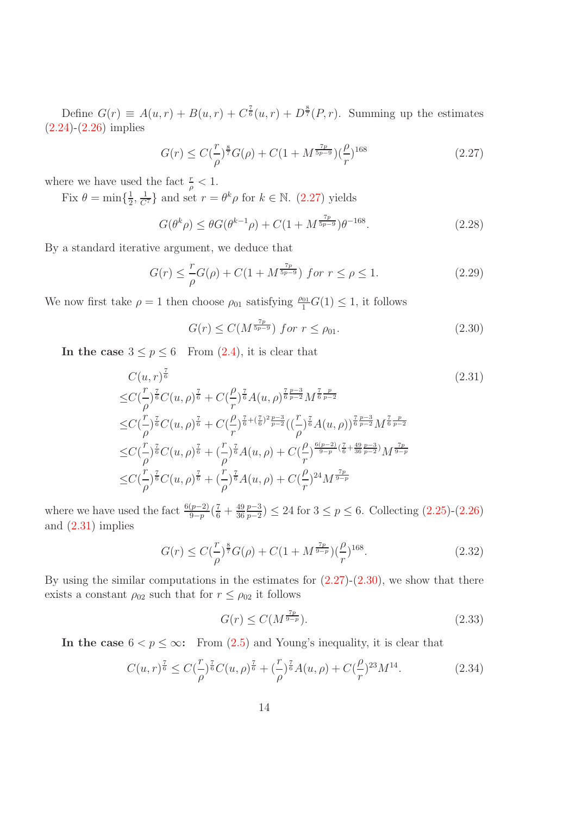Define  $G(r) \equiv A(u,r) + B(u,r) + C^{\frac{7}{6}}(u,r) + D^{\frac{8}{7}}(P,r)$ . Summing up the estimates  $(2.24)$ - $(2.26)$  implies

<span id="page-13-0"></span>
$$
G(r) \le C\left(\frac{r}{\rho}\right)^{\frac{8}{7}}G(\rho) + C\left(1 + M^{\frac{7p}{5p-9}}\right)\left(\frac{\rho}{r}\right)^{168} \tag{2.27}
$$

where we have used the fact  $\frac{r}{\rho} < 1$ .

Fix  $\theta = \min\{\frac{1}{2}$  $\frac{1}{2}, \frac{1}{C^7}$  and set  $r = \theta^k \rho$  for  $k \in \mathbb{N}$ . [\(2.27\)](#page-13-0) yields

$$
G(\theta^k \rho) \le \theta G(\theta^{k-1} \rho) + C(1 + M^{\frac{7p}{5p-9}}) \theta^{-168}.
$$
 (2.28)

By a standard iterative argument, we deduce that

$$
G(r) \leq \frac{r}{\rho}G(\rho) + C(1 + M^{\frac{7p}{5p-9}}) \text{ for } r \leq \rho \leq 1. \tag{2.29}
$$

We now first take  $\rho = 1$  then choose  $\rho_{01}$  satisfying  $\frac{\rho_{01}}{1}G(1) \leq 1$ , it follows

<span id="page-13-2"></span><span id="page-13-1"></span>
$$
G(r) \le C(M^{\frac{7p}{5p-9}}) \text{ for } r \le \rho_{01}. \tag{2.30}
$$

In the case  $3 \le p \le 6$  From [\(2.4\)](#page-7-3), it is clear that

$$
C(u,r)^{\frac{7}{6}} \qquad (2.31)
$$
  
\n
$$
\leq C(\frac{r}{\rho})^{\frac{7}{6}}C(u,\rho)^{\frac{7}{6}} + C(\frac{\rho}{r})^{\frac{7}{6}}A(u,\rho)^{\frac{7}{6}\frac{p-3}{p-2}}M^{\frac{7}{6}\frac{p}{p-2}} \n\leq C(\frac{r}{\rho})^{\frac{7}{6}}C(u,\rho)^{\frac{7}{6}} + C(\frac{\rho}{r})^{\frac{7}{6}+(\frac{7}{6})^2\frac{p-3}{p-2}}((\frac{r}{\rho})^{\frac{7}{6}}A(u,\rho))^{\frac{7}{6}\frac{p-3}{p-2}}M^{\frac{7}{6}\frac{p}{p-2}} \n\leq C(\frac{r}{\rho})^{\frac{7}{6}}C(u,\rho)^{\frac{7}{6}} + (\frac{r}{\rho})^{\frac{7}{6}}A(u,\rho) + C(\frac{\rho}{r})^{\frac{6(p-2)}{9-p}(\frac{7}{6}+\frac{49}{36}\frac{p-3}{p-2})}M^{\frac{7p}{9-p}} \n\leq C(\frac{r}{\rho})^{\frac{7}{6}}C(u,\rho)^{\frac{7}{6}} + (\frac{r}{\rho})^{\frac{7}{6}}A(u,\rho) + C(\frac{\rho}{r})^{24}M^{\frac{7p}{9-p}} \n\leq C(\frac{r}{\rho})^{\frac{7}{6}}C(u,\rho)^{\frac{7}{6}} + (\frac{r}{\rho})^{\frac{7}{6}}A(u,\rho) + C(\frac{\rho}{r})^{24}M^{\frac{7p}{9-p}}
$$

where we have used the fact  $\frac{6(p-2)}{9-p}(\frac{7}{6}+\frac{49}{36})$  $rac{49}{36} \frac{p-3}{p-2}$  $\frac{p-3}{p-2}$  ≤ 24 for  $3 \le p \le 6$ . Collecting  $(2.25)-(2.26)$  $(2.25)-(2.26)$ and [\(2.31\)](#page-13-1) implies

$$
G(r) \le C(\frac{r}{\rho})^{\frac{8}{7}}G(\rho) + C(1 + M^{\frac{7p}{9-p}})(\frac{\rho}{r})^{168}.
$$
\n(2.32)

By using the similar computations in the estimates for  $(2.27)-(2.30)$  $(2.27)-(2.30)$ , we show that there exists a constant  $\rho_{02}$  such that for  $r \leq \rho_{02}$  it follows

<span id="page-13-4"></span><span id="page-13-3"></span>
$$
G(r) \le C(M^{\frac{7p}{9-p}}). \tag{2.33}
$$

In the case  $6 < p \leq \infty$ : From [\(2.5\)](#page-7-4) and Young's inequality, it is clear that

$$
C(u,r)^{\frac{7}{6}} \leq C(\frac{r}{\rho})^{\frac{7}{6}}C(u,\rho)^{\frac{7}{6}} + (\frac{r}{\rho})^{\frac{7}{6}}A(u,\rho) + C(\frac{\rho}{r})^{23}M^{14}.
$$
 (2.34)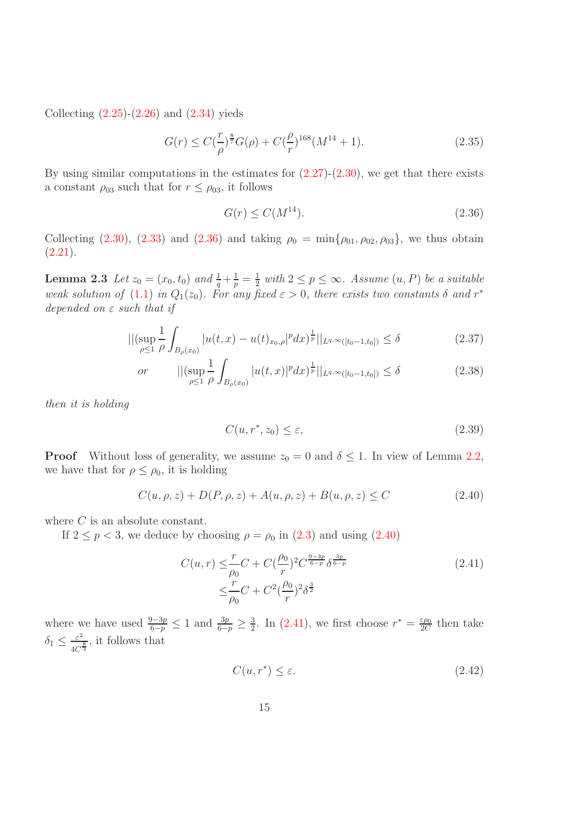Collecting  $(2.25)-(2.26)$  $(2.25)-(2.26)$  and  $(2.34)$  yieds

$$
G(r) \le C(\frac{r}{\rho})^{\frac{8}{7}}G(\rho) + C(\frac{\rho}{r})^{168}(M^{14} + 1).
$$
\n(2.35)

By using similar computations in the estimates for  $(2.27)-(2.30)$  $(2.27)-(2.30)$ , we get that there exists a constant  $\rho_{03}$  such that for  $r \leq \rho_{03}$ , it follows

<span id="page-14-0"></span>
$$
G(r) \le C(M^{14}).\tag{2.36}
$$

<span id="page-14-4"></span>Collecting [\(2.30\)](#page-13-2), [\(2.33\)](#page-13-4) and [\(2.36\)](#page-14-0) and taking  $\rho_0 = \min{\{\rho_{01}, \rho_{02}, \rho_{03}\}}$ , we thus obtain  $(2.21).$  $(2.21).$ 

**Lemma 2.3** Let  $z_0 = (x_0, t_0)$  and  $\frac{1}{q} + \frac{1}{p} = \frac{1}{2}$  $\frac{1}{2}$  with  $2 \leq p \leq \infty$ . Assume  $(u, P)$  be a suitable weak solution of [\(1.1\)](#page-1-0) in  $Q_1(z_0)$ . For any fixed  $\varepsilon > 0$ , there exists two constants  $\delta$  and  $r^*$ depended on  $\varepsilon$  such that if

$$
\left\| \left(\sup_{\rho \leq 1} \frac{1}{\rho} \int_{B_{\rho}(x_0)} |u(t,x) - u(t)_{x_0, \rho}|^p dx \right)^{\frac{1}{p}} \right\|_{L^{q,\infty}([t_0 - 1, t_0])} \leq \delta \tag{2.37}
$$

or 
$$
\|(\sup_{\rho \le 1} \frac{1}{\rho} \int_{B_{\rho}(x_0)} |u(t,x)|^p dx)^{\frac{1}{p}}\|_{L^{q,\infty}([t_0-1,t_0])} \le \delta
$$
 (2.38)

then it is holding

<span id="page-14-1"></span>
$$
C(u, r^*, z_0) \le \varepsilon,\tag{2.39}
$$

**Proof** Without loss of generality, we assume  $z_0 = 0$  and  $\delta \leq 1$ . In view of Lemma [2.2,](#page-10-2) we have that for  $\rho \leq \rho_0$ , it is holding

$$
C(u, \rho, z) + D(P, \rho, z) + A(u, \rho, z) + B(u, \rho, z) \le C
$$
\n(2.40)

where C is an absolute constant.

If  $2 \le p < 3$ , we deduce by choosing  $\rho = \rho_0$  in  $(2.3)$  and using  $(2.40)$ 

$$
C(u,r) \leq \frac{r}{\rho_0} C + C(\frac{\rho_0}{r})^2 C^{\frac{9-3p}{6-p}} \delta^{\frac{3p}{6-p}}
$$
  

$$
\leq \frac{r}{\rho_0} C + C^2(\frac{\rho_0}{r})^2 \delta^{\frac{3}{2}}
$$
 (2.41)

where we have used  $\frac{9-3p}{6-p} \leq 1$  and  $\frac{3p}{6-p} \geq \frac{3}{2}$  $\frac{3}{2}$ . In [\(2.41\)](#page-14-2), we first choose  $r^* = \frac{\varepsilon \rho_0}{2C}$  $\frac{\varepsilon \rho_0}{2C}$  then take  $\delta_1 \leq \frac{\varepsilon^2}{4C}$  $\frac{\varepsilon^2}{4C^{\frac{8}{3}}}$ , it follows that

<span id="page-14-3"></span><span id="page-14-2"></span>
$$
C(u, r^*) \le \varepsilon. \tag{2.42}
$$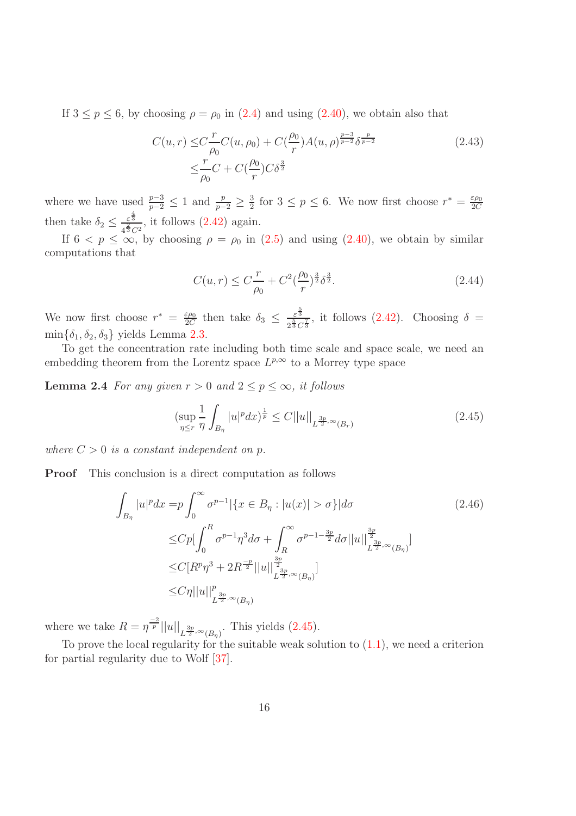If  $3 \le p \le 6$ , by choosing  $\rho = \rho_0$  in [\(2.4\)](#page-7-3) and using [\(2.40\)](#page-14-1), we obtain also that

$$
C(u,r) \leq C \frac{r}{\rho_0} C(u,\rho_0) + C(\frac{\rho_0}{r}) A(u,\rho)^{\frac{p-3}{p-2}} \delta^{\frac{p}{p-2}} \leq \frac{r}{\rho_0} C + C(\frac{\rho_0}{r}) C \delta^{\frac{3}{2}}
$$
\n(2.43)

where we have used  $\frac{p-3}{p-2} \leq 1$  and  $\frac{p}{p-2} \geq \frac{3}{2}$  $\frac{3}{2}$  for  $3 \leq p \leq 6$ . We now first choose  $r^* = \frac{\varepsilon \rho_0}{2C}$ 2C then take  $\delta_2 \leq \frac{\varepsilon^{\frac{4}{3}}}{4\frac{2}{3}\varepsilon}$  $\frac{\varepsilon^3}{4^3 C^2}$ , it follows  $(2.42)$  again.

If  $6 < p \le \infty$ , by choosing  $\rho = \rho_0$  in  $(2.5)$  and using  $(2.40)$ , we obtain by similar computations that

<span id="page-15-0"></span>
$$
C(u,r) \le C\frac{r}{\rho_0} + C^2(\frac{\rho_0}{r})^{\frac{3}{2}}\delta^{\frac{3}{2}}.
$$
\n(2.44)

We now first choose  $r^* = \frac{\varepsilon \rho_0}{2C}$  $\frac{\varepsilon \rho_0}{2C}$  then take  $\delta_3 \leq \frac{\varepsilon^{\frac{5}{3}}}{2^{\frac{5}{3}}C}$  $\frac{\varepsilon^3}{2^{\frac{5}{3}}C^{\frac{7}{3}}}$ , it follows [\(2.42\)](#page-14-3). Choosing  $\delta =$  $\min\{\delta_1, \delta_2, \delta_3\}$  yields Lemma [2.3.](#page-14-4)

To get the concentration rate including both time scale and space scale, we need an embedding theorem from the Lorentz space  $L^{p,\infty}$  to a Morrey type space

**Lemma 2.4** For any given  $r > 0$  and  $2 \leq p \leq \infty$ , it follows

<span id="page-15-1"></span>
$$
\left(\sup_{\eta \le r} \frac{1}{\eta} \int_{B_{\eta}} |u|^p dx\right)^{\frac{1}{p}} \le C||u||_{L^{\frac{3p}{2}, \infty}(B_r)}\tag{2.45}
$$

where  $C > 0$  is a constant independent on p.

Proof This conclusion is a direct computation as follows

$$
\int_{B_{\eta}} |u|^p dx = p \int_0^{\infty} \sigma^{p-1} |\{x \in B_{\eta} : |u(x)| > \sigma\}| d\sigma
$$
\n
$$
\leq C p \Big[ \int_0^R \sigma^{p-1} \eta^3 d\sigma + \int_R^{\infty} \sigma^{p-1-\frac{3p}{2}} d\sigma ||u|| \Big]_{L^{\frac{3p}{2},\infty}(B_{\eta})}^{\frac{3p}{2}} \Big]
$$
\n
$$
\leq C [R^p \eta^3 + 2R^{\frac{-p}{2}} ||u||_{L^{\frac{3p}{2},\infty}(B_{\eta})}^{\frac{3p}{2}}]
$$
\n
$$
\leq C \eta ||u||_{L^{\frac{3p}{2},\infty}(B_{\eta})}^p
$$
\n
$$
\leq C |\eta||u||_{L^{\frac{3p}{2},\infty}(B_{\eta})}^p
$$
\n(2.46)

where we take  $R = \eta^{\frac{-2}{p}} ||u||_{L^{\frac{3p}{2}, \infty}(B_{\eta})}$ . This yields [\(2.45\)](#page-15-1).

<span id="page-15-2"></span>To prove the local regularity for the suitable weak solution to [\(1.1\)](#page-1-0), we need a criterion for partial regularity due to Wolf [\[37\]](#page-20-5).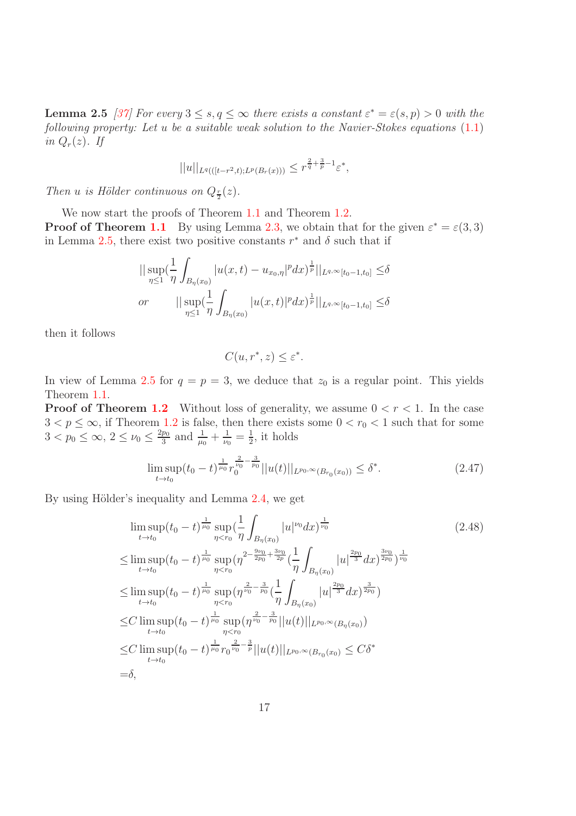**Lemma 2.5** [\[37\]](#page-20-5) For every  $3 \le s, q \le \infty$  there exists a constant  $\varepsilon^* = \varepsilon(s, p) > 0$  with the following property: Let u be a suitable weak solution to the Navier-Stokes equations  $(1.1)$ in  $Q_r(z)$ . If

$$
||u||_{L^{q}(([t-r^{2},t);L^{p}(B_{r}(x)))} \leq r^{\frac{2}{q}+\frac{3}{p}-1}\varepsilon^{*},
$$

Then *u* is Hölder continuous on  $Q_{\frac{r}{2}}(z)$ .

We now start the proofs of Theorem [1.1](#page-4-0) and Theorem [1.2.](#page-5-1) **Proof of Theorem [1.1](#page-4-0)** By using Lemma [2.3,](#page-14-4) we obtain that for the given  $\varepsilon^* = \varepsilon(3,3)$ in Lemma [2.5,](#page-15-2) there exist two positive constants  $r^*$  and  $\delta$  such that if

$$
\|\sup_{\eta\leq 1}(\frac{1}{\eta}\int_{B_{\eta}(x_0)}|u(x,t)-u_{x_0,\eta}|^pdx)^{\frac{1}{p}}\|_{L^{q,\infty}[t_0-1,t_0]}\leq \delta
$$
  
or 
$$
\|\sup_{\eta\leq 1}(\frac{1}{\eta}\int_{B_{\eta}(x_0)}|u(x,t)|^pdx)^{\frac{1}{p}}\|_{L^{q,\infty}[t_0-1,t_0]}\leq \delta
$$

then it follows

<span id="page-16-0"></span>
$$
C(u, r^*, z) \le \varepsilon^*.
$$

In view of Lemma [2.5](#page-15-2) for  $q = p = 3$ , we deduce that  $z_0$  is a regular point. This yields Theorem [1.1.](#page-4-0)

**Proof of Theorem [1.2](#page-5-1)** Without loss of generality, we assume  $0 < r < 1$ . In the case  $3 < p \leq \infty$ , if Theorem [1.2](#page-5-1) is false, then there exists some  $0 < r_0 < 1$  such that for some  $3 < p_0 \leq \infty$ ,  $2 \leq \nu_0 \leq \frac{2p_0}{3}$  $\frac{p_0}{3}$  and  $\frac{1}{\mu_0} + \frac{1}{\nu_0}$  $\frac{1}{\nu_0} = \frac{1}{2}$  $\frac{1}{2}$ , it holds

$$
\limsup_{t \to t_0} (t_0 - t)^{\frac{1}{\mu_0}} r_0^{\frac{2}{\mu_0} - \frac{3}{p_0}} ||u(t)||_{L^{p_0, \infty}(B_{r_0}(x_0))} \le \delta^*.
$$
\n(2.47)

By using Hölder's inequality and Lemma [2.4,](#page-15-0) we get

$$
\limsup_{t \to t_0} (t_0 - t)^{\frac{1}{\mu_0}} \sup_{\eta < r_0} \left( \frac{1}{\eta} \int_{B_{\eta}(x_0)} |u|^{\nu_0} dx \right)^{\frac{1}{\nu_0}} \tag{2.48}
$$
\n
$$
\leq \limsup_{t \to t_0} (t_0 - t)^{\frac{1}{\mu_0}} \sup_{\eta < r_0} (\eta^{2 - \frac{9\nu_0}{2p_0} + \frac{3\nu_0}{2p}} \left( \frac{1}{\eta} \int_{B_{\eta}(x_0)} |u|^{\frac{2p_0}{3}} dx \right)^{\frac{3\nu_0}{2p_0}})^{\frac{1}{\nu_0}}
$$
\n
$$
\leq \limsup_{t \to t_0} (t_0 - t)^{\frac{1}{\mu_0}} \sup_{\eta < r_0} (\eta^{\frac{2}{\nu_0} - \frac{3}{p_0}} \left( \frac{1}{\eta} \int_{B_{\eta}(x_0)} |u|^{\frac{2p_0}{3}} dx \right)^{\frac{3}{2p_0}})
$$
\n
$$
\leq C \limsup_{t \to t_0} (t_0 - t)^{\frac{1}{\mu_0}} \sup_{\eta < r_0} (\eta^{\frac{2}{\nu_0} - \frac{3}{p_0}} ||u(t)||_{L^{p_0, \infty}(B_{\eta}(x_0))})
$$
\n
$$
\leq C \limsup_{t \to t_0} (t_0 - t)^{\frac{1}{\mu_0}} \int_{\eta < r_0}^{\frac{2}{\nu_0} - \frac{3}{p}} ||u(t)||_{L^{p_0, \infty}(B_{r_0}(x_0))} \leq C\delta^*
$$
\n
$$
= \delta,
$$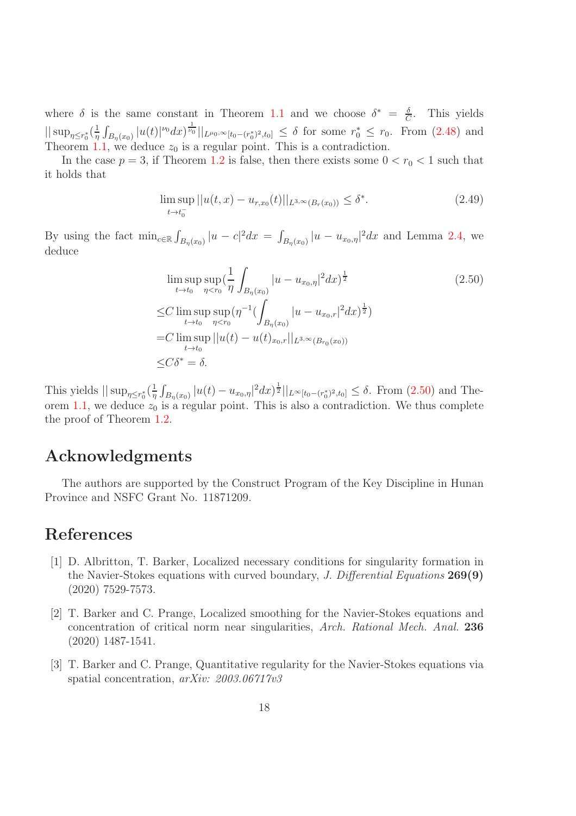where  $\delta$  is the same constant in Theorem [1.1](#page-4-0) and we choose  $\delta^* = \frac{\delta}{G}$  $\frac{\delta}{C}$ . This yields  $\|\sup_{\eta \leq r_0^*} \left(\frac{1}{\eta}\right)$  $\frac{1}{\eta} \int_{B_{\eta}(x_0)} |u(t)|^{\nu_0} dx \frac{1}{\nu_0} \Big|_{L^{\mu_0,\infty}[t_0-(r_0^*)^2,t_0]} \leq \delta$  for some  $r_0^* \leq r_0$ . From [\(2.48\)](#page-16-0) and Theorem [1.1,](#page-4-0) we deduce  $z_0$  is a regular point. This is a contradiction.

In the case  $p = 3$ , if Theorem [1.2](#page-5-1) is false, then there exists some  $0 < r_0 < 1$  such that it holds that

$$
\limsup_{t \to t_0^-} ||u(t, x) - u_{r, x_0}(t)||_{L^{3,\infty}(B_r(x_0))} \le \delta^*.
$$
\n(2.49)

By using the fact  $\min_{c \in \mathbb{R}} \int_{B_{\eta}(x_0)} |u - c|^2 dx = \int_{B_{\eta}(x_0)} |u - u_{x_0, \eta}|^2 dx$  and Lemma [2.4,](#page-15-0) we deduce

<span id="page-17-3"></span>
$$
\limsup_{t \to t_0} \sup_{\eta < r_0} \left( \frac{1}{\eta} \int_{B_{\eta}(x_0)} |u - u_{x_0, \eta}|^2 dx \right)^{\frac{1}{2}} \tag{2.50}
$$
\n
$$
\leq C \limsup_{t \to t_0} \sup_{\eta < r_0} (\eta^{-1} \left( \int_{B_{\eta}(x_0)} |u - u_{x_0, r}|^2 dx \right)^{\frac{1}{2}})
$$
\n
$$
= C \limsup_{t \to t_0} ||u(t) - u(t)_{x_0, r}||_{L^{3, \infty}(B_{r_0}(x_0))}
$$
\n
$$
\leq C \delta^* = \delta.
$$

This yields  $\|\sup_{\eta \leq r_0^*} (\frac{1}{\eta})$  $\frac{1}{\eta} \int_{B_{\eta}(x_0)} |u(t) - u_{x_0, \eta}|^2 dx \, \dot{d}^{\frac{1}{2}} ||_{L^{\infty}[t_0 - (r_0^*)^2, t_0]} \leq \delta.$  From [\(2.50\)](#page-17-3) and The-orem [1.1,](#page-4-0) we deduce  $z_0$  is a regular point. This is also a contradiction. We thus complete the proof of Theorem [1.2.](#page-5-1)

## Acknowledgments

The authors are supported by the Construct Program of the Key Discipline in Hunan Province and NSFC Grant No. 11871209.

### <span id="page-17-0"></span>References

- [1] D. Albritton, T. Barker, Localized necessary conditions for singularity formation in the Navier-Stokes equations with curved boundary, J. Differential Equations 269(9) (2020) 7529-7573.
- <span id="page-17-1"></span>[2] T. Barker and C. Prange, Localized smoothing for the Navier-Stokes equations and concentration of critical norm near singularities, Arch. Rational Mech. Anal. 236 (2020) 1487-1541.
- <span id="page-17-2"></span>[3] T. Barker and C. Prange, Quantitative regularity for the Navier-Stokes equations via spatial concentration,  $arXiv: 2003.06717v3$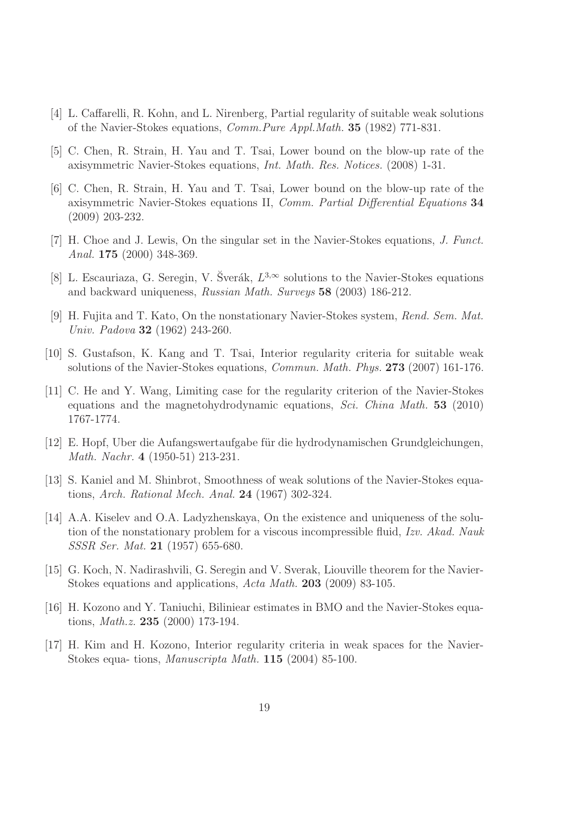- <span id="page-18-11"></span><span id="page-18-8"></span>[4] L. Caffarelli, R. Kohn, and L. Nirenberg, Partial regularity of suitable weak solutions of the Navier-Stokes equations, Comm.Pure Appl.Math. 35 (1982) 771-831.
- <span id="page-18-12"></span>[5] C. Chen, R. Strain, H. Yau and T. Tsai, Lower bound on the blow-up rate of the axisymmetric Navier-Stokes equations, Int. Math. Res. Notices. (2008) 1-31.
- [6] C. Chen, R. Strain, H. Yau and T. Tsai, Lower bound on the blow-up rate of the axisymmetric Navier-Stokes equations II, Comm. Partial Differential Equations 34 (2009) 203-232.
- <span id="page-18-9"></span>[7] H. Choe and J. Lewis, On the singular set in the Navier-Stokes equations, J. Funct. Anal. 175 (2000) 348-369.
- <span id="page-18-4"></span>[8] L. Escauriaza, G. Seregin, V. Šverák,  $L^{3,\infty}$  solutions to the Navier-Stokes equations and backward uniqueness, Russian Math. Surveys 58 (2003) 186-212.
- <span id="page-18-0"></span>[9] H. Fujita and T. Kato, On the nonstationary Navier-Stokes system, Rend. Sem. Mat. Univ. Padova 32 (1962) 243-260.
- <span id="page-18-10"></span><span id="page-18-7"></span>[10] S. Gustafson, K. Kang and T. Tsai, Interior regularity criteria for suitable weak solutions of the Navier-Stokes equations, Commun. Math. Phys. 273 (2007) 161-176.
- [11] C. He and Y. Wang, Limiting case for the regularity criterion of the Navier-Stokes equations and the magnetohydrodynamic equations, *Sci. China Math.* **53** (2010) 1767-1774.
- <span id="page-18-3"></span><span id="page-18-1"></span>[12] E. Hopf, Uber die Aufangswertaufgabe für die hydrodynamischen Grundgleichungen, Math. Nachr. 4 (1950-51) 213-231.
- <span id="page-18-2"></span>[13] S. Kaniel and M. Shinbrot, Smoothness of weak solutions of the Navier-Stokes equations, Arch. Rational Mech. Anal. 24 (1967) 302-324.
- [14] A.A. Kiselev and O.A. Ladyzhenskaya, On the existence and uniqueness of the solution of the nonstationary problem for a viscous incompressible fluid, Izv. Akad. Nauk SSSR Ser. Mat. 21 (1957) 655-680.
- <span id="page-18-13"></span>[15] G. Koch, N. Nadirashvili, G. Seregin and V. Sverak, Liouville theorem for the Navier-Stokes equations and applications, Acta Math. 203 (2009) 83-105.
- <span id="page-18-5"></span>[16] H. Kozono and Y. Taniuchi, Biliniear estimates in BMO and the Navier-Stokes equations, Math.z. 235 (2000) 173-194.
- <span id="page-18-6"></span>[17] H. Kim and H. Kozono, Interior regularity criteria in weak spaces for the Navier-Stokes equa- tions, Manuscripta Math. 115 (2004) 85-100.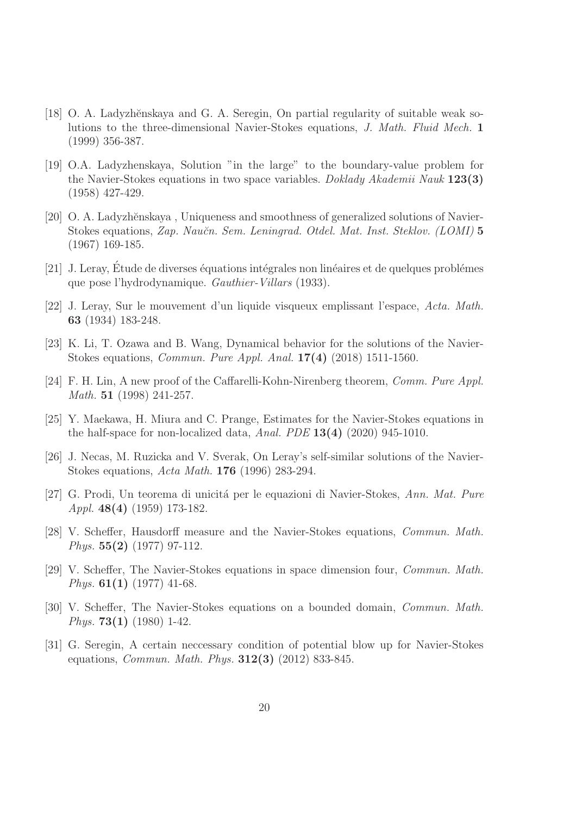- <span id="page-19-7"></span>[18] O. A. Ladyzhěnskaya and G. A. Seregin, On partial regularity of suitable weak solutions to the three-dimensional Navier-Stokes equations, J. Math. Fluid Mech. 1 (1999) 356-387.
- <span id="page-19-2"></span>[19] O.A. Ladyzhenskaya, Solution "in the large" to the boundary-value problem for the Navier-Stokes equations in two space variables. Doklady Akademii Nauk  $123(3)$ (1958) 427-429.
- <span id="page-19-3"></span>[20] O. A. Ladyzhěnskaya, Uniqueness and smoothness of generalized solutions of Navier-Stokes equations, Zap. Naučn. Sem. Leningrad. Otdel. Mat. Inst. Steklov. (LOMI) 5 (1967) 169-185.
- <span id="page-19-1"></span> $[21]$  J. Leray, Étude de diverses équations intégrales non linéaires et de quelques problémes que pose l'hydrodynamique. Gauthier-Villars (1933).
- <span id="page-19-0"></span>[22] J. Leray, Sur le mouvement d'un liquide visqueux emplissant l'espace, Acta. Math. 63 (1934) 183-248.
- <span id="page-19-11"></span>[23] K. Li, T. Ozawa and B. Wang, Dynamical behavior for the solutions of the Navier-Stokes equations, Commun. Pure Appl. Anal. 17(4) (2018) 1511-1560.
- <span id="page-19-8"></span>[24] F. H. Lin, A new proof of the Caffarelli-Kohn-Nirenberg theorem, Comm. Pure Appl. Math. 51 (1998) 241-257.
- <span id="page-19-12"></span>[25] Y. Maekawa, H. Miura and C. Prange, Estimates for the Navier-Stokes equations in the half-space for non-localized data, Anal. PDE  $13(4)$  (2020) 945-1010.
- <span id="page-19-9"></span>[26] J. Necas, M. Ruzicka and V. Sverak, On Leray's self-similar solutions of the Navier-Stokes equations, Acta Math. 176 (1996) 283-294.
- <span id="page-19-4"></span>[27] G. Prodi, Un teorema di unicità per le equazioni di Navier-Stokes, Ann. Mat. Pure Appl. 48(4) (1959) 173-182.
- <span id="page-19-5"></span>[28] V. Scheffer, Hausdorff measure and the Navier-Stokes equations, Commun. Math. *Phys.*  $55(2)$  (1977) 97-112.
- [29] V. Scheffer, The Navier-Stokes equations in space dimension four, Commun. Math. Phys.  $61(1)$  (1977) 41-68.
- <span id="page-19-6"></span>[30] V. Scheffer, The Navier-Stokes equations on a bounded domain, Commun. Math. *Phys.* **73(1)** (1980) 1-42.
- <span id="page-19-10"></span>[31] G. Seregin, A certain neccessary condition of potential blow up for Navier-Stokes equations, Commun. Math. Phys. 312(3) (2012) 833-845.